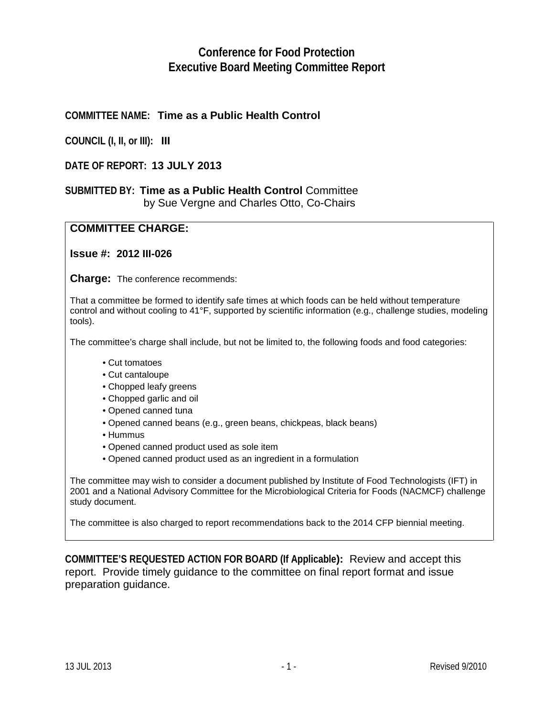# **Conference for Food Protection Executive Board Meeting Committee Report**

### **COMMITTEE NAME: Time as a Public Health Control**

**COUNCIL (I, II, or III): III**

#### **DATE OF REPORT: 13 JULY 2013**

#### **SUBMITTED BY: Time as a Public Health Control** Committee by Sue Vergne and Charles Otto, Co-Chairs

#### **COMMITTEE CHARGE:**

#### **Issue #: 2012 III-026**

**Charge:** The conference recommends:

That a committee be formed to identify safe times at which foods can be held without temperature control and without cooling to 41°F, supported by scientific information (e.g., challenge studies, modeling tools).

The committee's charge shall include, but not be limited to, the following foods and food categories:

- Cut tomatoes
- Cut cantaloupe
- Chopped leafy greens
- Chopped garlic and oil
- Opened canned tuna
- Opened canned beans (e.g., green beans, chickpeas, black beans)
- Hummus
- Opened canned product used as sole item
- Opened canned product used as an ingredient in a formulation

The committee may wish to consider a document published by Institute of Food Technologists (IFT) in 2001 and a National Advisory Committee for the Microbiological Criteria for Foods (NACMCF) challenge study document.

The committee is also charged to report recommendations back to the 2014 CFP biennial meeting.

**COMMITTEE'S REQUESTED ACTION FOR BOARD (If Applicable):** Review and accept this report. Provide timely guidance to the committee on final report format and issue preparation guidance.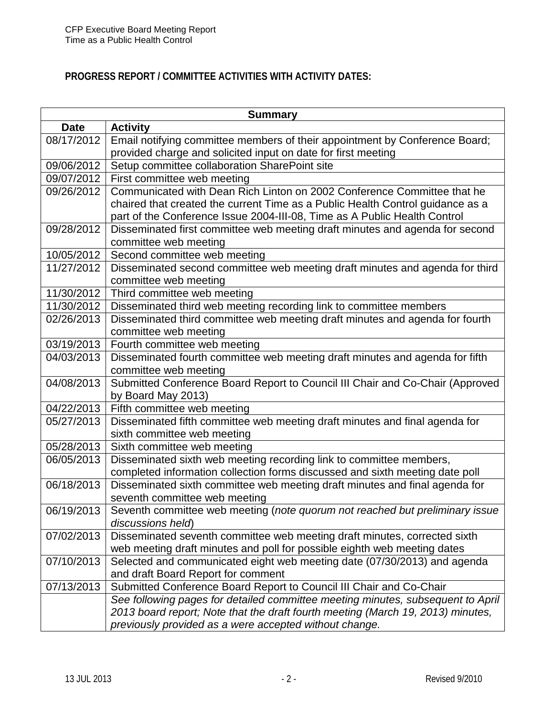# **PROGRESS REPORT / COMMITTEE ACTIVITIES WITH ACTIVITY DATES:**

|             | <b>Summary</b>                                                                  |  |  |  |  |  |  |
|-------------|---------------------------------------------------------------------------------|--|--|--|--|--|--|
| <b>Date</b> | <b>Activity</b>                                                                 |  |  |  |  |  |  |
| 08/17/2012  | Email notifying committee members of their appointment by Conference Board;     |  |  |  |  |  |  |
|             | provided charge and solicited input on date for first meeting                   |  |  |  |  |  |  |
| 09/06/2012  | Setup committee collaboration SharePoint site                                   |  |  |  |  |  |  |
| 09/07/2012  | First committee web meeting                                                     |  |  |  |  |  |  |
| 09/26/2012  | Communicated with Dean Rich Linton on 2002 Conference Committee that he         |  |  |  |  |  |  |
|             | chaired that created the current Time as a Public Health Control guidance as a  |  |  |  |  |  |  |
|             | part of the Conference Issue 2004-III-08, Time as A Public Health Control       |  |  |  |  |  |  |
| 09/28/2012  | Disseminated first committee web meeting draft minutes and agenda for second    |  |  |  |  |  |  |
|             | committee web meeting                                                           |  |  |  |  |  |  |
| 10/05/2012  | Second committee web meeting                                                    |  |  |  |  |  |  |
| 11/27/2012  | Disseminated second committee web meeting draft minutes and agenda for third    |  |  |  |  |  |  |
|             | committee web meeting                                                           |  |  |  |  |  |  |
| 11/30/2012  | Third committee web meeting                                                     |  |  |  |  |  |  |
| 11/30/2012  | Disseminated third web meeting recording link to committee members              |  |  |  |  |  |  |
| 02/26/2013  | Disseminated third committee web meeting draft minutes and agenda for fourth    |  |  |  |  |  |  |
|             | committee web meeting                                                           |  |  |  |  |  |  |
| 03/19/2013  | Fourth committee web meeting                                                    |  |  |  |  |  |  |
| 04/03/2013  | Disseminated fourth committee web meeting draft minutes and agenda for fifth    |  |  |  |  |  |  |
|             | committee web meeting                                                           |  |  |  |  |  |  |
| 04/08/2013  | Submitted Conference Board Report to Council III Chair and Co-Chair (Approved   |  |  |  |  |  |  |
|             | by Board May 2013)                                                              |  |  |  |  |  |  |
| 04/22/2013  | Fifth committee web meeting                                                     |  |  |  |  |  |  |
| 05/27/2013  | Disseminated fifth committee web meeting draft minutes and final agenda for     |  |  |  |  |  |  |
|             | sixth committee web meeting                                                     |  |  |  |  |  |  |
| 05/28/2013  | Sixth committee web meeting                                                     |  |  |  |  |  |  |
| 06/05/2013  | Disseminated sixth web meeting recording link to committee members,             |  |  |  |  |  |  |
|             | completed information collection forms discussed and sixth meeting date poll    |  |  |  |  |  |  |
| 06/18/2013  | Disseminated sixth committee web meeting draft minutes and final agenda for     |  |  |  |  |  |  |
|             | seventh committee web meeting                                                   |  |  |  |  |  |  |
| 06/19/2013  | Seventh committee web meeting (note quorum not reached but preliminary issue    |  |  |  |  |  |  |
|             | discussions held)                                                               |  |  |  |  |  |  |
| 07/02/2013  | Disseminated seventh committee web meeting draft minutes, corrected sixth       |  |  |  |  |  |  |
|             | web meeting draft minutes and poll for possible eighth web meeting dates        |  |  |  |  |  |  |
| 07/10/2013  | Selected and communicated eight web meeting date (07/30/2013) and agenda        |  |  |  |  |  |  |
|             | and draft Board Report for comment                                              |  |  |  |  |  |  |
| 07/13/2013  | Submitted Conference Board Report to Council III Chair and Co-Chair             |  |  |  |  |  |  |
|             | See following pages for detailed committee meeting minutes, subsequent to April |  |  |  |  |  |  |
|             | 2013 board report; Note that the draft fourth meeting (March 19, 2013) minutes, |  |  |  |  |  |  |
|             | previously provided as a were accepted without change.                          |  |  |  |  |  |  |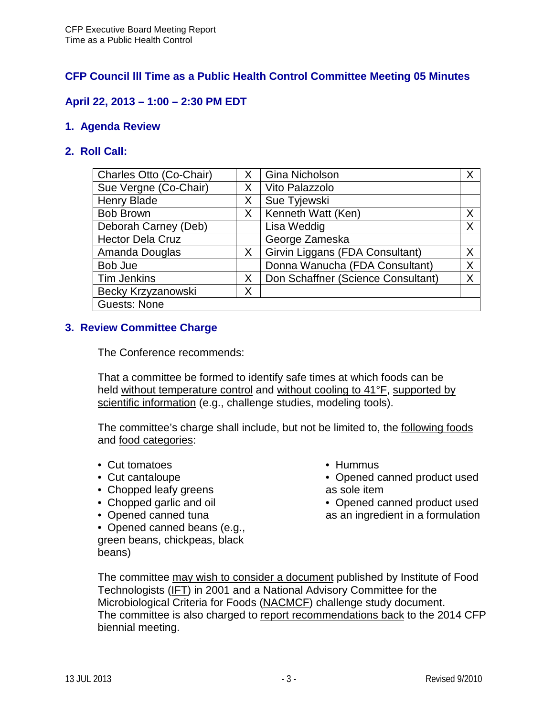## **CFP Council lll Time as a Public Health Control Committee Meeting 05 Minutes**

## **April 22, 2013 – 1:00 – 2:30 PM EDT**

### **1. Agenda Review**

### **2. Roll Call:**

| Charles Otto (Co-Chair) | X | Gina Nicholson                     | Χ |
|-------------------------|---|------------------------------------|---|
| Sue Vergne (Co-Chair)   | Χ | Vito Palazzolo                     |   |
| <b>Henry Blade</b>      | Χ | Sue Tyjewski                       |   |
| <b>Bob Brown</b>        | X | Kenneth Watt (Ken)                 | X |
| Deborah Carney (Deb)    |   | Lisa Weddig                        | X |
| <b>Hector Dela Cruz</b> |   | George Zameska                     |   |
| Amanda Douglas          | X | Girvin Liggans (FDA Consultant)    | X |
| Bob Jue                 |   | Donna Wanucha (FDA Consultant)     | X |
| <b>Tim Jenkins</b>      | X | Don Schaffner (Science Consultant) | X |
| Becky Krzyzanowski      | Χ |                                    |   |
| <b>Guests: None</b>     |   |                                    |   |

### **3. Review Committee Charge**

The Conference recommends:

That a committee be formed to identify safe times at which foods can be held without temperature control and without cooling to 41°F, supported by scientific information (e.g., challenge studies, modeling tools).

The committee's charge shall include, but not be limited to, the following foods and food categories:

- Cut tomatoes
- Cut cantaloupe
- Chopped leafy greens
- Chopped garlic and oil
- Opened canned tuna
- Opened canned beans (e.g.,

green beans, chickpeas, black beans)

- Hummus
- Opened canned product used as sole item
- Opened canned product used as an ingredient in a formulation

The committee may wish to consider a document published by Institute of Food Technologists (IFT) in 2001 and a National Advisory Committee for the Microbiological Criteria for Foods (NACMCF) challenge study document. The committee is also charged to report recommendations back to the 2014 CFP biennial meeting.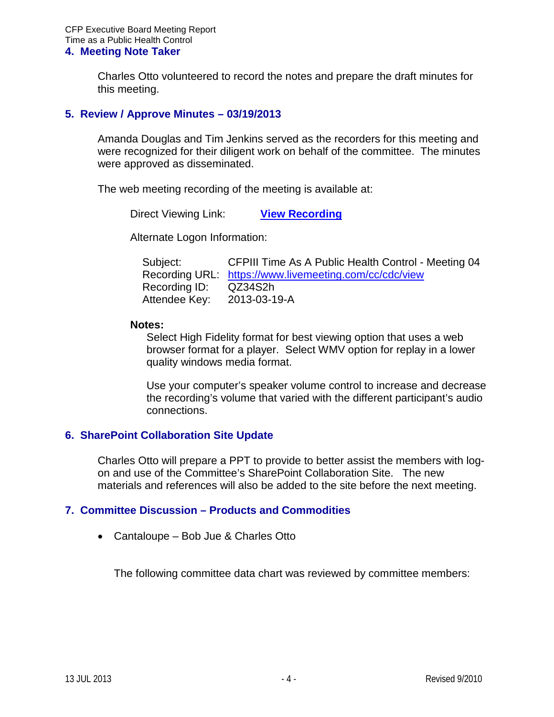Charles Otto volunteered to record the notes and prepare the draft minutes for this meeting.

#### **5. Review / Approve Minutes – 03/19/2013**

Amanda Douglas and Tim Jenkins served as the recorders for this meeting and were recognized for their diligent work on behalf of the committee. The minutes were approved as disseminated.

The web meeting recording of the meeting is available at:

Direct Viewing Link: **[View Recording](https://www.livemeeting.com/cc/cdc/view?id=QZ34S2&pw=2013-03-19-A)**

Alternate Logon Information:

| Subject:      | CFPIII Time As A Public Health Control - Meeting 04    |
|---------------|--------------------------------------------------------|
|               | Recording URL: https://www.livemeeting.com/cc/cdc/view |
| Recording ID: | QZ34S2h                                                |
| Attendee Key: | 2013-03-19-A                                           |

#### **Notes:**

Select High Fidelity format for best viewing option that uses a web browser format for a player. Select WMV option for replay in a lower quality windows media format.

Use your computer's speaker volume control to increase and decrease the recording's volume that varied with the different participant's audio connections.

### **6. SharePoint Collaboration Site Update**

Charles Otto will prepare a PPT to provide to better assist the members with logon and use of the Committee's SharePoint Collaboration Site. The new materials and references will also be added to the site before the next meeting.

### **7. Committee Discussion – Products and Commodities**

• Cantaloupe – Bob Jue & Charles Otto

The following committee data chart was reviewed by committee members: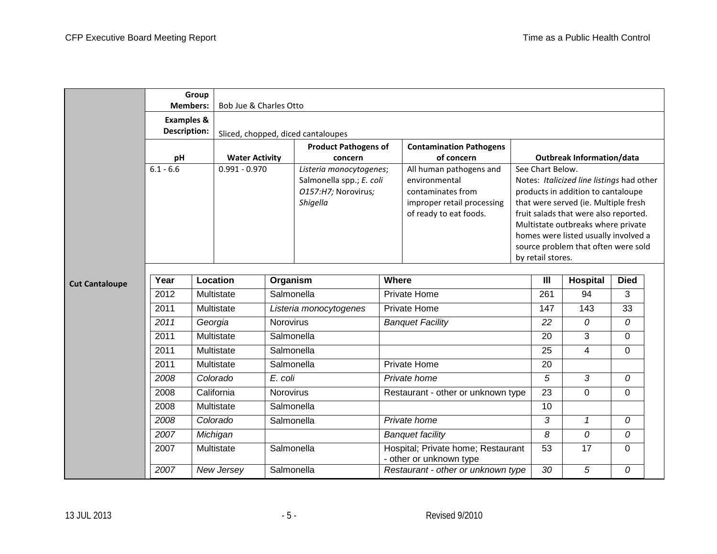|                                                                                    | <b>Members:</b> | Group   | Bob Jue & Charles Otto |                  |                                                                                        |              |                                                                                                                       |                                                                                                                                                                                                                                                                                                                                |                                  |              |             |  |
|------------------------------------------------------------------------------------|-----------------|---------|------------------------|------------------|----------------------------------------------------------------------------------------|--------------|-----------------------------------------------------------------------------------------------------------------------|--------------------------------------------------------------------------------------------------------------------------------------------------------------------------------------------------------------------------------------------------------------------------------------------------------------------------------|----------------------------------|--------------|-------------|--|
| <b>Examples &amp;</b><br><b>Description:</b><br>Sliced, chopped, diced cantaloupes |                 |         |                        |                  |                                                                                        |              |                                                                                                                       |                                                                                                                                                                                                                                                                                                                                |                                  |              |             |  |
|                                                                                    | pH              |         | <b>Water Activity</b>  |                  | <b>Product Pathogens of</b><br>concern                                                 |              | <b>Contamination Pathogens</b><br>of concern                                                                          |                                                                                                                                                                                                                                                                                                                                | <b>Outbreak Information/data</b> |              |             |  |
|                                                                                    | $6.1 - 6.6$     |         | $0.991 - 0.970$        |                  | Listeria monocytogenes;<br>Salmonella spp.; E. coli<br>O157:H7; Norovirus;<br>Shigella |              | All human pathogens and<br>environmental<br>contaminates from<br>improper retail processing<br>of ready to eat foods. | See Chart Below.<br>Notes: Italicized line listings had other<br>products in addition to cantaloupe<br>that were served (ie. Multiple fresh<br>fruit salads that were also reported.<br>Multistate outbreaks where private<br>homes were listed usually involved a<br>source problem that often were sold<br>by retail stores. |                                  |              |             |  |
| <b>Cut Cantaloupe</b>                                                              | Year            |         | Location               | Organism         |                                                                                        | Where        |                                                                                                                       |                                                                                                                                                                                                                                                                                                                                | $\mathbf{III}$                   | Hospital     | <b>Died</b> |  |
|                                                                                    | 2012            |         | Multistate             | Salmonella       |                                                                                        | Private Home |                                                                                                                       |                                                                                                                                                                                                                                                                                                                                | 261                              | 94           | 3           |  |
|                                                                                    | 2011            |         | Multistate             |                  | Listeria monocytogenes                                                                 | Private Home |                                                                                                                       |                                                                                                                                                                                                                                                                                                                                | 147                              | 143          | 33          |  |
|                                                                                    | 2011            | Georgia |                        | <b>Norovirus</b> |                                                                                        |              | <b>Banquet Facility</b>                                                                                               |                                                                                                                                                                                                                                                                                                                                | 22                               | 0            | $\Omega$    |  |
|                                                                                    | 2011            |         | Multistate             | Salmonella       |                                                                                        |              |                                                                                                                       |                                                                                                                                                                                                                                                                                                                                | 20                               | 3            | 0           |  |
|                                                                                    | 2011            |         | Multistate             | Salmonella       |                                                                                        |              |                                                                                                                       |                                                                                                                                                                                                                                                                                                                                | 25                               | 4            | 0           |  |
|                                                                                    | 2011            |         | Multistate             | Salmonella       |                                                                                        |              | <b>Private Home</b>                                                                                                   |                                                                                                                                                                                                                                                                                                                                | 20                               |              |             |  |
|                                                                                    | 2008            |         | Colorado               | E. coli          |                                                                                        |              | Private home                                                                                                          |                                                                                                                                                                                                                                                                                                                                | 5                                | 3            | 0           |  |
|                                                                                    | 2008            |         | California             | Norovirus        |                                                                                        |              | Restaurant - other or unknown type                                                                                    |                                                                                                                                                                                                                                                                                                                                | $\overline{23}$                  | $\mathbf 0$  | 0           |  |
|                                                                                    | 2008            |         | Multistate             | Salmonella       |                                                                                        |              |                                                                                                                       |                                                                                                                                                                                                                                                                                                                                | 10                               |              |             |  |
|                                                                                    | 2008            |         | Colorado               | Salmonella       |                                                                                        |              | Private home                                                                                                          |                                                                                                                                                                                                                                                                                                                                | 3                                | 1            | 0           |  |
|                                                                                    | 2007            |         | Michigan               |                  |                                                                                        |              | <b>Banquet facility</b>                                                                                               |                                                                                                                                                                                                                                                                                                                                | 8                                | $\mathcal O$ | 0           |  |
|                                                                                    | 2007            |         | Multistate             | Salmonella       |                                                                                        |              | Hospital; Private home; Restaurant<br>- other or unknown type                                                         |                                                                                                                                                                                                                                                                                                                                | 53                               | 17           | 0           |  |
|                                                                                    | 2007            |         | New Jersey             | Salmonella       |                                                                                        |              | Restaurant - other or unknown type                                                                                    |                                                                                                                                                                                                                                                                                                                                | 30                               | 5            | 0           |  |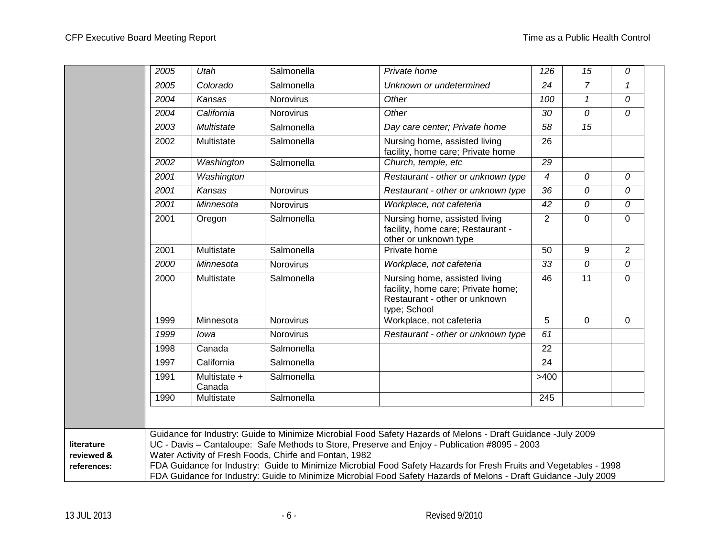|                                         | 2005 | Utah                   | Salmonella                                             | Private home                                                                                                                                                                                                                                                                                                                                                                                                                                           | 126             | 15             | 0              |  |
|-----------------------------------------|------|------------------------|--------------------------------------------------------|--------------------------------------------------------------------------------------------------------------------------------------------------------------------------------------------------------------------------------------------------------------------------------------------------------------------------------------------------------------------------------------------------------------------------------------------------------|-----------------|----------------|----------------|--|
|                                         | 2005 | Colorado               | Salmonella                                             | Unknown or undetermined                                                                                                                                                                                                                                                                                                                                                                                                                                | 24              | $\overline{7}$ | $\mathbf{1}$   |  |
|                                         | 2004 | Kansas                 | Norovirus                                              | Other                                                                                                                                                                                                                                                                                                                                                                                                                                                  | 100             | $\mathcal I$   | 0              |  |
|                                         | 2004 | California             | Norovirus                                              | Other                                                                                                                                                                                                                                                                                                                                                                                                                                                  | 30              | 0              | 0              |  |
|                                         | 2003 | Multistate             | Salmonella                                             | Day care center; Private home                                                                                                                                                                                                                                                                                                                                                                                                                          | 58              | 15             |                |  |
|                                         | 2002 | Multistate             | Salmonella                                             | Nursing home, assisted living<br>facility, home care; Private home                                                                                                                                                                                                                                                                                                                                                                                     | $\overline{26}$ |                |                |  |
|                                         | 2002 | Washington             | Salmonella                                             | Church, temple, etc                                                                                                                                                                                                                                                                                                                                                                                                                                    | $\overline{29}$ |                |                |  |
|                                         | 2001 | Washington             |                                                        | Restaurant - other or unknown type                                                                                                                                                                                                                                                                                                                                                                                                                     | $\overline{4}$  | 0              | 0              |  |
|                                         | 2001 | Kansas                 | Norovirus                                              | Restaurant - other or unknown type                                                                                                                                                                                                                                                                                                                                                                                                                     | $\overline{36}$ | 0              | 0              |  |
|                                         | 2001 | Minnesota              | Norovirus                                              | Workplace, not cafeteria                                                                                                                                                                                                                                                                                                                                                                                                                               | 42              | 0              | 0              |  |
|                                         | 2001 | Oregon                 | Salmonella                                             | Nursing home, assisted living<br>facility, home care; Restaurant -<br>other or unknown type                                                                                                                                                                                                                                                                                                                                                            | $\overline{2}$  | $\mathbf{0}$   | $\Omega$       |  |
|                                         | 2001 | Multistate             | Salmonella                                             | Private home                                                                                                                                                                                                                                                                                                                                                                                                                                           | 50              | 9              | $\overline{2}$ |  |
|                                         | 2000 | Minnesota              | Norovirus                                              | Workplace, not cafeteria                                                                                                                                                                                                                                                                                                                                                                                                                               | 33              | 0              | 0              |  |
|                                         | 2000 | Multistate             | Salmonella                                             | Nursing home, assisted living<br>facility, home care; Private home;<br>Restaurant - other or unknown<br>type; School                                                                                                                                                                                                                                                                                                                                   | 46              | 11             | 0              |  |
|                                         | 1999 | Minnesota              | Norovirus                                              | Workplace, not cafeteria                                                                                                                                                                                                                                                                                                                                                                                                                               | 5               | $\overline{0}$ | $\mathbf{0}$   |  |
|                                         | 1999 | lowa                   | Norovirus                                              | Restaurant - other or unknown type                                                                                                                                                                                                                                                                                                                                                                                                                     | 61              |                |                |  |
|                                         | 1998 | Canada                 | Salmonella                                             |                                                                                                                                                                                                                                                                                                                                                                                                                                                        | 22              |                |                |  |
|                                         | 1997 | California             | Salmonella                                             |                                                                                                                                                                                                                                                                                                                                                                                                                                                        | 24              |                |                |  |
|                                         | 1991 | Multistate +<br>Canada | Salmonella                                             |                                                                                                                                                                                                                                                                                                                                                                                                                                                        | >400            |                |                |  |
|                                         | 1990 | Multistate             | Salmonella                                             |                                                                                                                                                                                                                                                                                                                                                                                                                                                        | 245             |                |                |  |
|                                         |      |                        |                                                        |                                                                                                                                                                                                                                                                                                                                                                                                                                                        |                 |                |                |  |
| literature<br>reviewed &<br>references: |      |                        | Water Activity of Fresh Foods, Chirfe and Fontan, 1982 | Guidance for Industry: Guide to Minimize Microbial Food Safety Hazards of Melons - Draft Guidance -July 2009<br>UC - Davis - Cantaloupe: Safe Methods to Store, Preserve and Enjoy - Publication #8095 - 2003<br>FDA Guidance for Industry: Guide to Minimize Microbial Food Safety Hazards for Fresh Fruits and Vegetables - 1998<br>FDA Guidance for Industry: Guide to Minimize Microbial Food Safety Hazards of Melons - Draft Guidance -July 2009 |                 |                |                |  |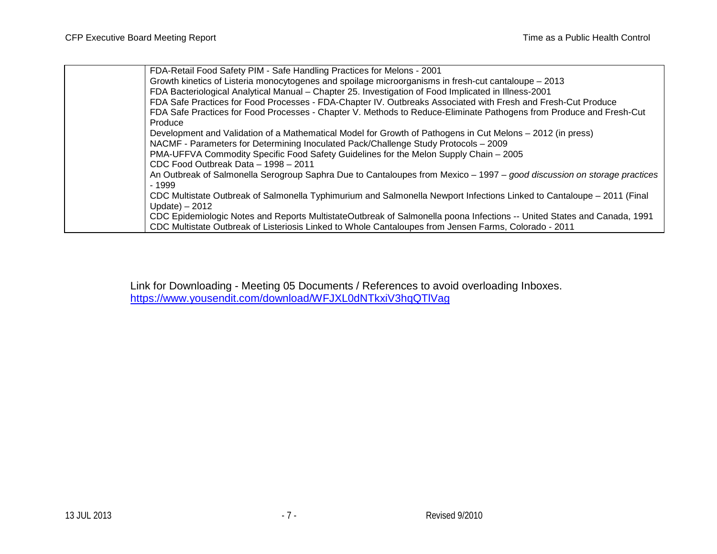| FDA-Retail Food Safety PIM - Safe Handling Practices for Melons - 2001                                                  |
|-------------------------------------------------------------------------------------------------------------------------|
| Growth kinetics of Listeria monocytogenes and spoilage microorganisms in fresh-cut cantaloupe – 2013                    |
| FDA Bacteriological Analytical Manual - Chapter 25. Investigation of Food Implicated in Illness-2001                    |
| FDA Safe Practices for Food Processes - FDA-Chapter IV. Outbreaks Associated with Fresh and Fresh-Cut Produce           |
| FDA Safe Practices for Food Processes - Chapter V. Methods to Reduce-Eliminate Pathogens from Produce and Fresh-Cut     |
| Produce                                                                                                                 |
| Development and Validation of a Mathematical Model for Growth of Pathogens in Cut Melons - 2012 (in press)              |
| NACMF - Parameters for Determining Inoculated Pack/Challenge Study Protocols - 2009                                     |
| PMA-UFFVA Commodity Specific Food Safety Guidelines for the Melon Supply Chain - 2005                                   |
| CDC Food Outbreak Data - 1998 - 2011                                                                                    |
| An Outbreak of Salmonella Serogroup Saphra Due to Cantaloupes from Mexico - 1997 - good discussion on storage practices |
| $-1999$                                                                                                                 |
| CDC Multistate Outbreak of Salmonella Typhimurium and Salmonella Newport Infections Linked to Cantaloupe - 2011 (Final  |
| $Update) - 2012$                                                                                                        |
| CDC Epidemiologic Notes and Reports MultistateOutbreak of Salmonella poona Infections -- United States and Canada, 1991 |
| CDC Multistate Outbreak of Listeriosis Linked to Whole Cantaloupes from Jensen Farms, Colorado - 2011                   |
|                                                                                                                         |

Link for Downloading - Meeting 05 Documents / References to avoid overloading Inboxes. <https://www.yousendit.com/download/WFJXL0dNTkxiV3hqQTlVag>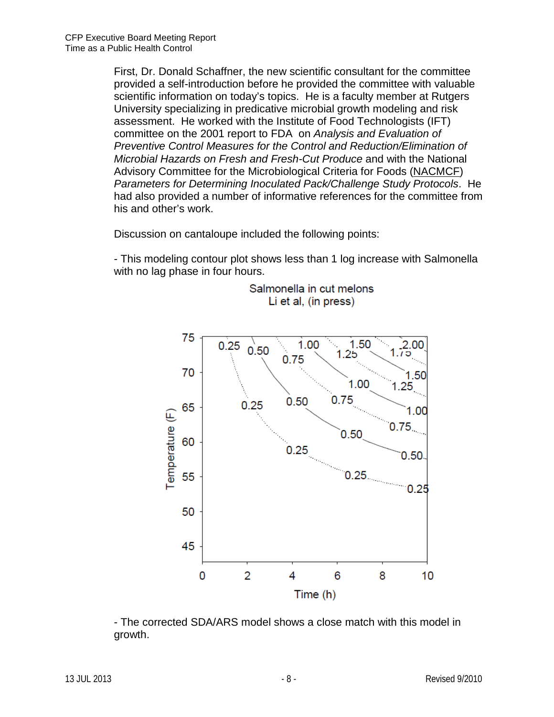First, Dr. Donald Schaffner, the new scientific consultant for the committee provided a self-introduction before he provided the committee with valuable scientific information on today's topics. He is a faculty member at Rutgers University specializing in predicative microbial growth modeling and risk assessment. He worked with the Institute of Food Technologists (IFT) committee on the 2001 report to FDA on *Analysis and Evaluation of Preventive Control Measures for the Control and Reduction/Elimination of Microbial Hazards on Fresh and Fresh-Cut Produce* and with the National Advisory Committee for the Microbiological Criteria for Foods (NACMCF) *Parameters for Determining Inoculated Pack/Challenge Study Protocols*. He had also provided a number of informative references for the committee from his and other's work.

Discussion on cantaloupe included the following points:

- This modeling contour plot shows less than 1 log increase with Salmonella with no lag phase in four hours.



Salmonella in cut melons Li et al, (in press)

- The corrected SDA/ARS model shows a close match with this model in growth.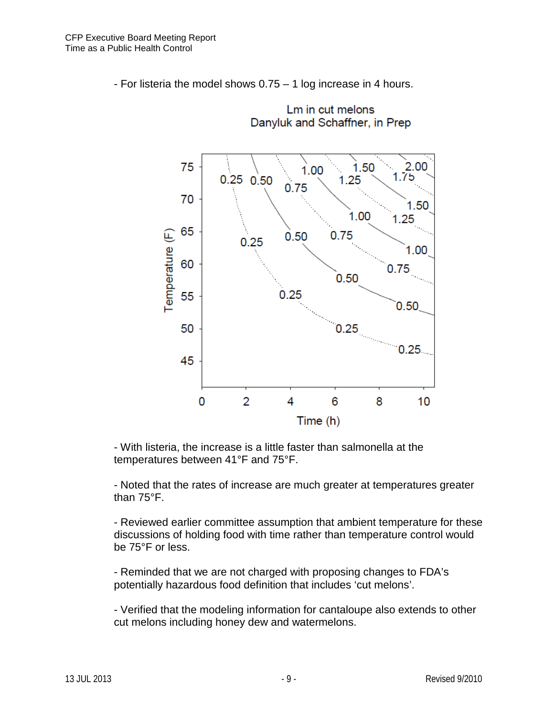



Lm in cut melons

- With listeria, the increase is a little faster than salmonella at the temperatures between 41°F and 75°F.

- Noted that the rates of increase are much greater at temperatures greater than 75°F.

- Reviewed earlier committee assumption that ambient temperature for these discussions of holding food with time rather than temperature control would be 75°F or less.

- Reminded that we are not charged with proposing changes to FDA's potentially hazardous food definition that includes 'cut melons'.

- Verified that the modeling information for cantaloupe also extends to other cut melons including honey dew and watermelons.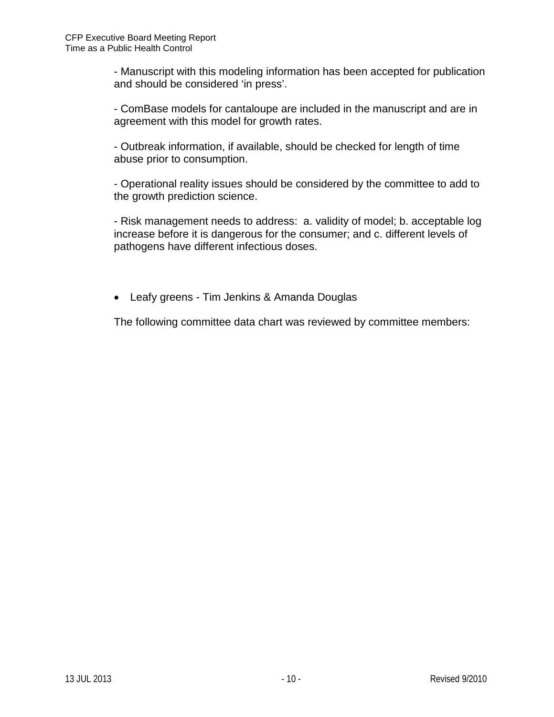- Manuscript with this modeling information has been accepted for publication and should be considered 'in press'.

- ComBase models for cantaloupe are included in the manuscript and are in agreement with this model for growth rates.

- Outbreak information, if available, should be checked for length of time abuse prior to consumption.

- Operational reality issues should be considered by the committee to add to the growth prediction science.

- Risk management needs to address: a. validity of model; b. acceptable log increase before it is dangerous for the consumer; and c. different levels of pathogens have different infectious doses.

• Leafy greens - Tim Jenkins & Amanda Douglas

The following committee data chart was reviewed by committee members: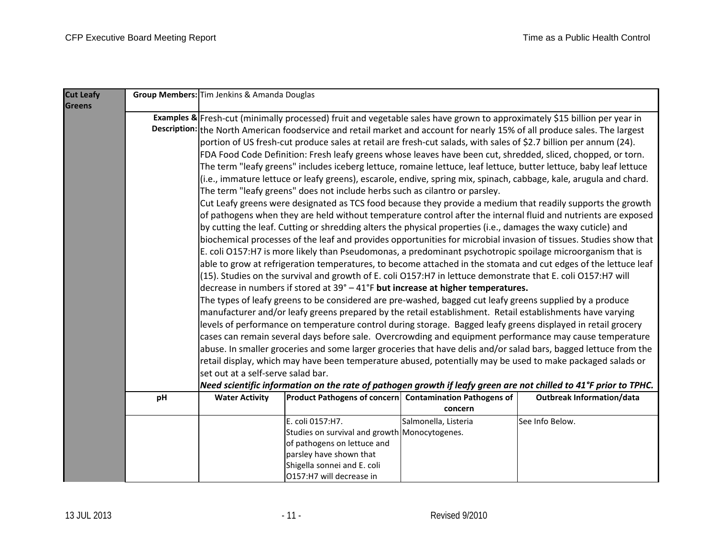| <b>Cut Leafy</b> |                                                                                                                                                                                                                                                |                                                                                                                   |                                                                                                                            | Group Members: Tim Jenkins & Amanda Douglas                                                                               |                                                                                                                    |  |  |  |  |  |
|------------------|------------------------------------------------------------------------------------------------------------------------------------------------------------------------------------------------------------------------------------------------|-------------------------------------------------------------------------------------------------------------------|----------------------------------------------------------------------------------------------------------------------------|---------------------------------------------------------------------------------------------------------------------------|--------------------------------------------------------------------------------------------------------------------|--|--|--|--|--|
| <b>Greens</b>    |                                                                                                                                                                                                                                                |                                                                                                                   |                                                                                                                            |                                                                                                                           |                                                                                                                    |  |  |  |  |  |
|                  |                                                                                                                                                                                                                                                |                                                                                                                   |                                                                                                                            | Examples & Fresh-cut (minimally processed) fruit and vegetable sales have grown to approximately \$15 billion per year in |                                                                                                                    |  |  |  |  |  |
|                  |                                                                                                                                                                                                                                                |                                                                                                                   | Description: the North American foodservice and retail market and account for nearly 15% of all produce sales. The largest |                                                                                                                           |                                                                                                                    |  |  |  |  |  |
|                  |                                                                                                                                                                                                                                                | portion of US fresh-cut produce sales at retail are fresh-cut salads, with sales of \$2.7 billion per annum (24). |                                                                                                                            |                                                                                                                           |                                                                                                                    |  |  |  |  |  |
|                  |                                                                                                                                                                                                                                                | FDA Food Code Definition: Fresh leafy greens whose leaves have been cut, shredded, sliced, chopped, or torn.      |                                                                                                                            |                                                                                                                           |                                                                                                                    |  |  |  |  |  |
|                  |                                                                                                                                                                                                                                                |                                                                                                                   |                                                                                                                            |                                                                                                                           | The term "leafy greens" includes iceberg lettuce, romaine lettuce, leaf lettuce, butter lettuce, baby leaf lettuce |  |  |  |  |  |
|                  |                                                                                                                                                                                                                                                |                                                                                                                   |                                                                                                                            |                                                                                                                           | (i.e., immature lettuce or leafy greens), escarole, endive, spring mix, spinach, cabbage, kale, arugula and chard. |  |  |  |  |  |
|                  |                                                                                                                                                                                                                                                |                                                                                                                   | The term "leafy greens" does not include herbs such as cilantro or parsley.                                                |                                                                                                                           |                                                                                                                    |  |  |  |  |  |
|                  |                                                                                                                                                                                                                                                |                                                                                                                   |                                                                                                                            |                                                                                                                           | Cut Leafy greens were designated as TCS food because they provide a medium that readily supports the growth        |  |  |  |  |  |
|                  |                                                                                                                                                                                                                                                |                                                                                                                   |                                                                                                                            |                                                                                                                           | of pathogens when they are held without temperature control after the internal fluid and nutrients are exposed     |  |  |  |  |  |
|                  |                                                                                                                                                                                                                                                |                                                                                                                   | by cutting the leaf. Cutting or shredding alters the physical properties (i.e., damages the waxy cuticle) and              |                                                                                                                           |                                                                                                                    |  |  |  |  |  |
|                  |                                                                                                                                                                                                                                                |                                                                                                                   |                                                                                                                            |                                                                                                                           | biochemical processes of the leaf and provides opportunities for microbial invasion of tissues. Studies show that  |  |  |  |  |  |
|                  |                                                                                                                                                                                                                                                |                                                                                                                   |                                                                                                                            |                                                                                                                           | E. coli O157:H7 is more likely than Pseudomonas, a predominant psychotropic spoilage microorganism that is         |  |  |  |  |  |
|                  |                                                                                                                                                                                                                                                |                                                                                                                   |                                                                                                                            |                                                                                                                           | able to grow at refrigeration temperatures, to become attached in the stomata and cut edges of the lettuce leaf    |  |  |  |  |  |
|                  |                                                                                                                                                                                                                                                |                                                                                                                   | $(15)$ . Studies on the survival and growth of E. coli O157:H7 in lettuce demonstrate that E. coli O157:H7 will            |                                                                                                                           |                                                                                                                    |  |  |  |  |  |
|                  |                                                                                                                                                                                                                                                |                                                                                                                   | decrease in numbers if stored at $39^\circ - 41^\circ F$ but increase at higher temperatures.                              |                                                                                                                           |                                                                                                                    |  |  |  |  |  |
|                  |                                                                                                                                                                                                                                                |                                                                                                                   | The types of leafy greens to be considered are pre-washed, bagged cut leafy greens supplied by a produce                   |                                                                                                                           |                                                                                                                    |  |  |  |  |  |
|                  |                                                                                                                                                                                                                                                |                                                                                                                   |                                                                                                                            |                                                                                                                           | manufacturer and/or leafy greens prepared by the retail establishment. Retail establishments have varying          |  |  |  |  |  |
|                  |                                                                                                                                                                                                                                                |                                                                                                                   |                                                                                                                            |                                                                                                                           | levels of performance on temperature control during storage. Bagged leafy greens displayed in retail grocery       |  |  |  |  |  |
|                  |                                                                                                                                                                                                                                                |                                                                                                                   |                                                                                                                            |                                                                                                                           | cases can remain several days before sale. Overcrowding and equipment performance may cause temperature            |  |  |  |  |  |
|                  |                                                                                                                                                                                                                                                |                                                                                                                   |                                                                                                                            |                                                                                                                           | abuse. In smaller groceries and some larger groceries that have delis and/or salad bars, bagged lettuce from the   |  |  |  |  |  |
|                  |                                                                                                                                                                                                                                                |                                                                                                                   |                                                                                                                            |                                                                                                                           | retail display, which may have been temperature abused, potentially may be used to make packaged salads or         |  |  |  |  |  |
|                  |                                                                                                                                                                                                                                                |                                                                                                                   |                                                                                                                            |                                                                                                                           |                                                                                                                    |  |  |  |  |  |
|                  |                                                                                                                                                                                                                                                | set out at a self-serve salad bar.                                                                                |                                                                                                                            |                                                                                                                           |                                                                                                                    |  |  |  |  |  |
|                  | Need scientific information on the rate of pathogen growth if leafy green are not chilled to 41°F prior to TPHC.<br>Product Pathogens of concern Contamination Pathogens of<br><b>Outbreak Information/data</b><br>pH<br><b>Water Activity</b> |                                                                                                                   |                                                                                                                            |                                                                                                                           |                                                                                                                    |  |  |  |  |  |
|                  |                                                                                                                                                                                                                                                |                                                                                                                   |                                                                                                                            | concern                                                                                                                   |                                                                                                                    |  |  |  |  |  |
|                  |                                                                                                                                                                                                                                                |                                                                                                                   | E. coli 0157:H7.                                                                                                           | Salmonella, Listeria                                                                                                      | See Info Below.                                                                                                    |  |  |  |  |  |
|                  |                                                                                                                                                                                                                                                |                                                                                                                   | Studies on survival and growth Monocytogenes.                                                                              |                                                                                                                           |                                                                                                                    |  |  |  |  |  |
|                  |                                                                                                                                                                                                                                                |                                                                                                                   | of pathogens on lettuce and                                                                                                |                                                                                                                           |                                                                                                                    |  |  |  |  |  |
|                  |                                                                                                                                                                                                                                                |                                                                                                                   | parsley have shown that                                                                                                    |                                                                                                                           |                                                                                                                    |  |  |  |  |  |
|                  |                                                                                                                                                                                                                                                |                                                                                                                   | Shigella sonnei and E. coli                                                                                                |                                                                                                                           |                                                                                                                    |  |  |  |  |  |
|                  |                                                                                                                                                                                                                                                |                                                                                                                   | O157:H7 will decrease in                                                                                                   |                                                                                                                           |                                                                                                                    |  |  |  |  |  |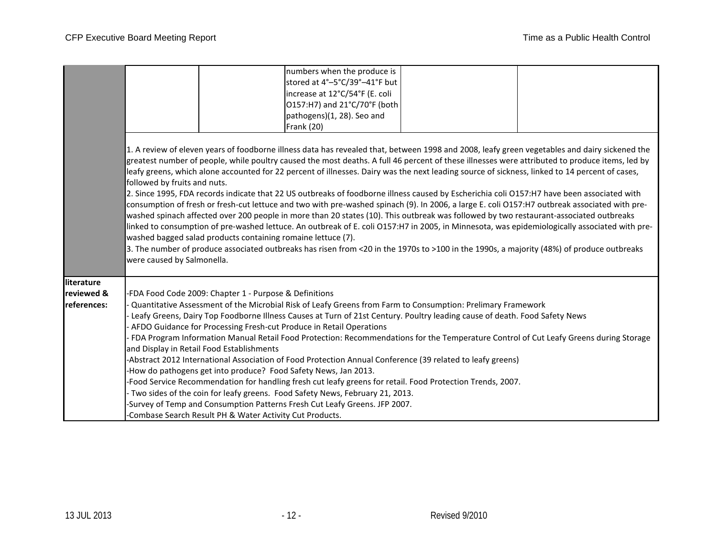|                                         |                                                                                                                                                                                                                                                                                                                                                                                                                                                                                                                                                                                                                                                                                                                                                                                                                                                                                                                                                                                                                                                                                                                                                                                                                                                                                                                        | numbers when the produce is<br>stored at 4°-5°C/39°-41°F but<br>increase at 12°C/54°F (E. coli<br>O157:H7) and 21°C/70°F (both<br>pathogens)(1, 28). Seo and<br><b>Frank (20)</b>                                                                                                                                                                                                                                                                                                                                                                                                                                                                                                                                                                                                                                                                                                                                                                                                                                                       |  |  |  |  |  |  |
|-----------------------------------------|------------------------------------------------------------------------------------------------------------------------------------------------------------------------------------------------------------------------------------------------------------------------------------------------------------------------------------------------------------------------------------------------------------------------------------------------------------------------------------------------------------------------------------------------------------------------------------------------------------------------------------------------------------------------------------------------------------------------------------------------------------------------------------------------------------------------------------------------------------------------------------------------------------------------------------------------------------------------------------------------------------------------------------------------------------------------------------------------------------------------------------------------------------------------------------------------------------------------------------------------------------------------------------------------------------------------|-----------------------------------------------------------------------------------------------------------------------------------------------------------------------------------------------------------------------------------------------------------------------------------------------------------------------------------------------------------------------------------------------------------------------------------------------------------------------------------------------------------------------------------------------------------------------------------------------------------------------------------------------------------------------------------------------------------------------------------------------------------------------------------------------------------------------------------------------------------------------------------------------------------------------------------------------------------------------------------------------------------------------------------------|--|--|--|--|--|--|
|                                         | 1. A review of eleven years of foodborne illness data has revealed that, between 1998 and 2008, leafy green vegetables and dairy sickened the<br>greatest number of people, while poultry caused the most deaths. A full 46 percent of these illnesses were attributed to produce items, led by<br>leafy greens, which alone accounted for 22 percent of illnesses. Dairy was the next leading source of sickness, linked to 14 percent of cases,<br>followed by fruits and nuts.<br>2. Since 1995, FDA records indicate that 22 US outbreaks of foodborne illness caused by Escherichia coli O157:H7 have been associated with<br>consumption of fresh or fresh-cut lettuce and two with pre-washed spinach (9). In 2006, a large E. coli O157:H7 outbreak associated with pre-<br>washed spinach affected over 200 people in more than 20 states (10). This outbreak was followed by two restaurant-associated outbreaks<br>linked to consumption of pre-washed lettuce. An outbreak of E. coli O157:H7 in 2005, in Minnesota, was epidemiologically associated with pre-<br>washed bagged salad products containing romaine lettuce (7).<br>3. The number of produce associated outbreaks has risen from <20 in the 1970s to >100 in the 1990s, a majority (48%) of produce outbreaks<br>were caused by Salmonella. |                                                                                                                                                                                                                                                                                                                                                                                                                                                                                                                                                                                                                                                                                                                                                                                                                                                                                                                                                                                                                                         |  |  |  |  |  |  |
| literature<br>reviewed &<br>references: | and Display in Retail Food Establishments                                                                                                                                                                                                                                                                                                                                                                                                                                                                                                                                                                                                                                                                                                                                                                                                                                                                                                                                                                                                                                                                                                                                                                                                                                                                              | FDA Food Code 2009: Chapter 1 - Purpose & Definitions<br>Quantitative Assessment of the Microbial Risk of Leafy Greens from Farm to Consumption: Prelimary Framework<br>Leafy Greens, Dairy Top Foodborne Illness Causes at Turn of 21st Century. Poultry leading cause of death. Food Safety News<br>AFDO Guidance for Processing Fresh-cut Produce in Retail Operations<br>FDA Program Information Manual Retail Food Protection: Recommendations for the Temperature Control of Cut Leafy Greens during Storage<br>Abstract 2012 International Association of Food Protection Annual Conference (39 related to leafy greens)<br>How do pathogens get into produce? Food Safety News, Jan 2013.<br>Food Service Recommendation for handling fresh cut leafy greens for retail. Food Protection Trends, 2007.<br>Two sides of the coin for leafy greens. Food Safety News, February 21, 2013.<br>Survey of Temp and Consumption Patterns Fresh Cut Leafy Greens. JFP 2007.<br>-Combase Search Result PH & Water Activity Cut Products. |  |  |  |  |  |  |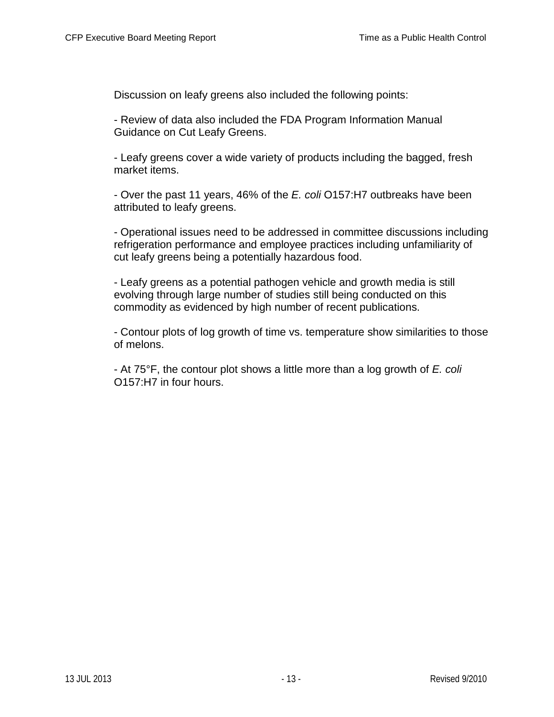Discussion on leafy greens also included the following points:

- Review of data also included the FDA Program Information Manual Guidance on Cut Leafy Greens.

- Leafy greens cover a wide variety of products including the bagged, fresh market items.

- Over the past 11 years, 46% of the *E. coli* O157:H7 outbreaks have been attributed to leafy greens.

- Operational issues need to be addressed in committee discussions including refrigeration performance and employee practices including unfamiliarity of cut leafy greens being a potentially hazardous food.

- Leafy greens as a potential pathogen vehicle and growth media is still evolving through large number of studies still being conducted on this commodity as evidenced by high number of recent publications.

- Contour plots of log growth of time vs. temperature show similarities to those of melons.

- At 75°F, the contour plot shows a little more than a log growth of *E. coli*  O157:H7 in four hours.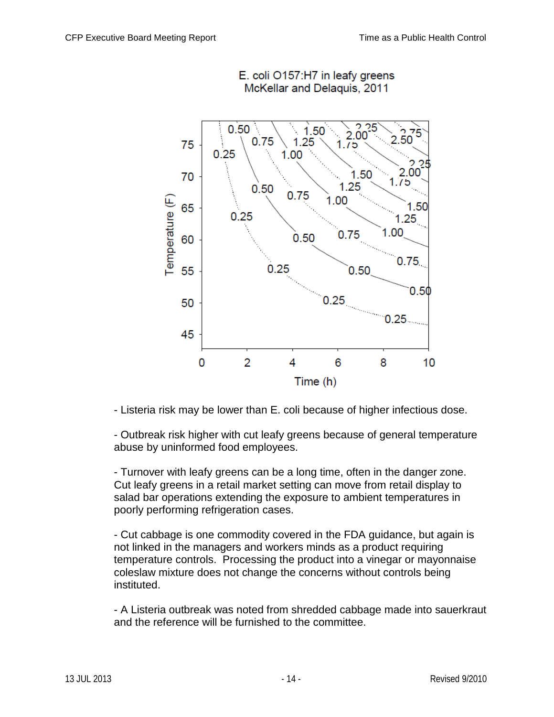

E. coli O157:H7 in leafy greens McKellar and Delaquis, 2011

- Listeria risk may be lower than E. coli because of higher infectious dose.

- Outbreak risk higher with cut leafy greens because of general temperature abuse by uninformed food employees.

- Turnover with leafy greens can be a long time, often in the danger zone. Cut leafy greens in a retail market setting can move from retail display to salad bar operations extending the exposure to ambient temperatures in poorly performing refrigeration cases.

- Cut cabbage is one commodity covered in the FDA guidance, but again is not linked in the managers and workers minds as a product requiring temperature controls. Processing the product into a vinegar or mayonnaise coleslaw mixture does not change the concerns without controls being instituted.

- A Listeria outbreak was noted from shredded cabbage made into sauerkraut and the reference will be furnished to the committee.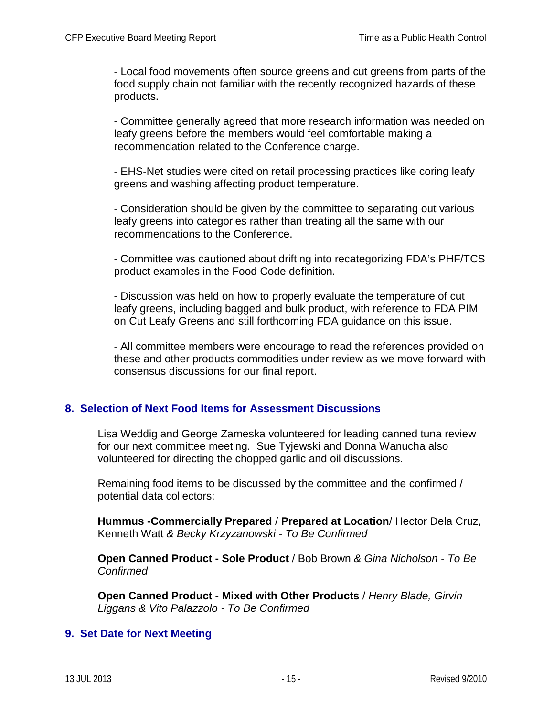- Local food movements often source greens and cut greens from parts of the food supply chain not familiar with the recently recognized hazards of these products.

- Committee generally agreed that more research information was needed on leafy greens before the members would feel comfortable making a recommendation related to the Conference charge.

- EHS-Net studies were cited on retail processing practices like coring leafy greens and washing affecting product temperature.

- Consideration should be given by the committee to separating out various leafy greens into categories rather than treating all the same with our recommendations to the Conference.

- Committee was cautioned about drifting into recategorizing FDA's PHF/TCS product examples in the Food Code definition.

- Discussion was held on how to properly evaluate the temperature of cut leafy greens, including bagged and bulk product, with reference to FDA PIM on Cut Leafy Greens and still forthcoming FDA guidance on this issue.

- All committee members were encourage to read the references provided on these and other products commodities under review as we move forward with consensus discussions for our final report.

### **8. Selection of Next Food Items for Assessment Discussions**

Lisa Weddig and George Zameska volunteered for leading canned tuna review for our next committee meeting. Sue Tyjewski and Donna Wanucha also volunteered for directing the chopped garlic and oil discussions.

Remaining food items to be discussed by the committee and the confirmed / potential data collectors:

**Hummus -Commercially Prepared** / **Prepared at Location**/ Hector Dela Cruz, Kenneth Watt *& Becky Krzyzanowski - To Be Confirmed*

**Open Canned Product - Sole Product** / Bob Brown *& Gina Nicholson - To Be Confirmed*

**Open Canned Product - Mixed with Other Products** / *Henry Blade, Girvin Liggans & Vito Palazzolo - To Be Confirmed*

### **9. Set Date for Next Meeting**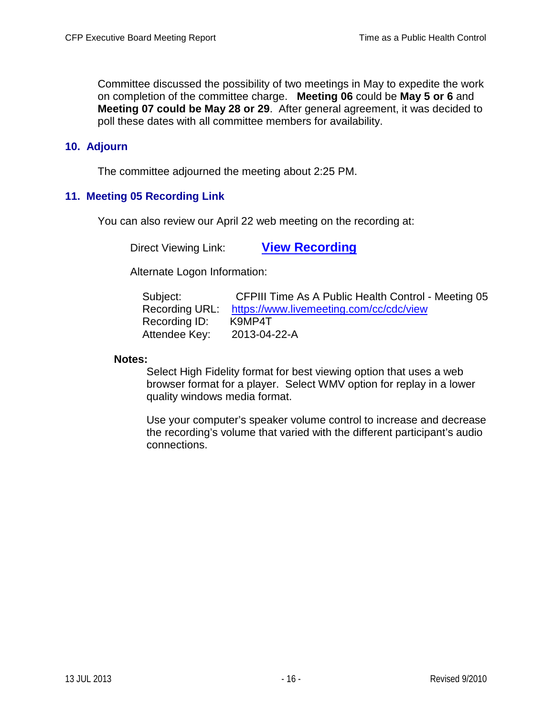Committee discussed the possibility of two meetings in May to expedite the work on completion of the committee charge. **Meeting 06** could be **May 5 or 6** and **Meeting 07 could be May 28 or 29**. After general agreement, it was decided to poll these dates with all committee members for availability.

## **10. Adjourn**

The committee adjourned the meeting about 2:25 PM.

## **11. Meeting 05 Recording Link**

You can also review our April 22 web meeting on the recording at:

Direct Viewing Link: **[View Recording](https://www.livemeeting.com/cc/cdc/view?id=K9MP4T&pw=2013-04-22-A)**

Alternate Logon Information:

| Subject:       | CFPIII Time As A Public Health Control - Meeting 05 |  |
|----------------|-----------------------------------------------------|--|
| Recording URL: | https://www.livemeeting.com/cc/cdc/view             |  |
| Recording ID:  | K9MP4T                                              |  |
| Attendee Key:  | 2013-04-22-A                                        |  |

#### **Notes:**

Select High Fidelity format for best viewing option that uses a web browser format for a player. Select WMV option for replay in a lower quality windows media format.

Use your computer's speaker volume control to increase and decrease the recording's volume that varied with the different participant's audio connections.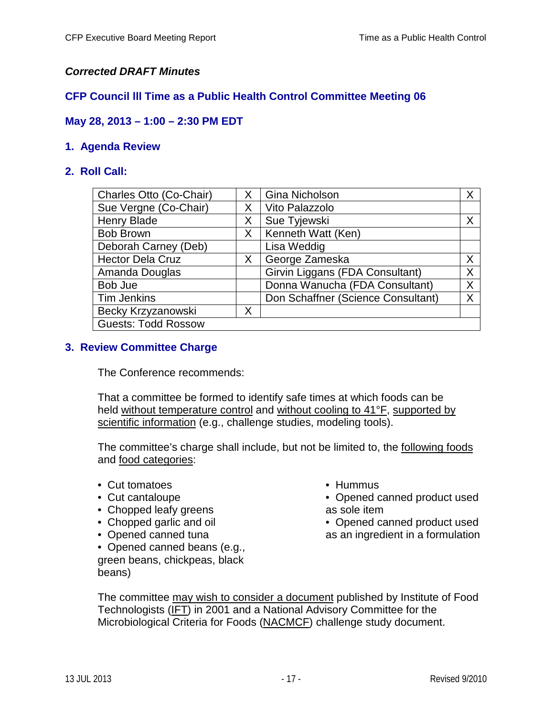## *Corrected DRAFT Minutes*

## **CFP Council lll Time as a Public Health Control Committee Meeting 06**

## **May 28, 2013 – 1:00 – 2:30 PM EDT**

### **1. Agenda Review**

### **2. Roll Call:**

| Charles Otto (Co-Chair)    | X. | <b>Gina Nicholson</b>              | X |
|----------------------------|----|------------------------------------|---|
| Sue Vergne (Co-Chair)      | Χ  | Vito Palazzolo                     |   |
| Henry Blade                | Χ  | Sue Tyjewski                       | X |
| <b>Bob Brown</b>           | X  | Kenneth Watt (Ken)                 |   |
| Deborah Carney (Deb)       |    | Lisa Weddig                        |   |
| <b>Hector Dela Cruz</b>    | X  | George Zameska                     | X |
| Amanda Douglas             |    | Girvin Liggans (FDA Consultant)    | X |
| Bob Jue                    |    | Donna Wanucha (FDA Consultant)     | Χ |
| <b>Tim Jenkins</b>         |    | Don Schaffner (Science Consultant) | Χ |
| Becky Krzyzanowski         | Χ  |                                    |   |
| <b>Guests: Todd Rossow</b> |    |                                    |   |

### **3. Review Committee Charge**

The Conference recommends:

That a committee be formed to identify safe times at which foods can be held without temperature control and without cooling to 41°F, supported by scientific information (e.g., challenge studies, modeling tools).

The committee's charge shall include, but not be limited to, the following foods and food categories:

- Cut tomatoes
- Cut cantaloupe
- Chopped leafy greens
- Chopped garlic and oil
- Opened canned tuna
- Opened canned beans (e.g., green beans, chickpeas, black beans)
- Hummus
- Opened canned product used as sole item
- Opened canned product used as an ingredient in a formulation

The committee may wish to consider a document published by Institute of Food Technologists (IFT) in 2001 and a National Advisory Committee for the Microbiological Criteria for Foods (NACMCF) challenge study document.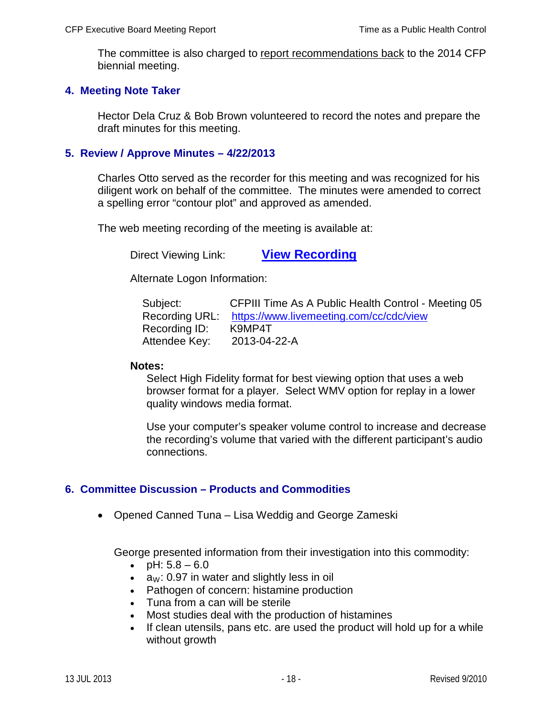The committee is also charged to report recommendations back to the 2014 CFP biennial meeting.

#### **4. Meeting Note Taker**

Hector Dela Cruz & Bob Brown volunteered to record the notes and prepare the draft minutes for this meeting.

#### **5. Review / Approve Minutes – 4/22/2013**

Charles Otto served as the recorder for this meeting and was recognized for his diligent work on behalf of the committee. The minutes were amended to correct a spelling error "contour plot" and approved as amended.

The web meeting recording of the meeting is available at:

Direct Viewing Link: **[View Recording](https://www.livemeeting.com/cc/cdc/view?id=K9MP4T&pw=2013-04-22-A)**

Alternate Logon Information:

| Subject:       | CFPIII Time As A Public Health Control - Meeting 05 |
|----------------|-----------------------------------------------------|
| Recording URL: | https://www.livemeeting.com/cc/cdc/view             |
| Recording ID:  | K9MP4T                                              |
| Attendee Key:  | 2013-04-22-A                                        |

#### **Notes:**

Select High Fidelity format for best viewing option that uses a web browser format for a player. Select WMV option for replay in a lower quality windows media format.

Use your computer's speaker volume control to increase and decrease the recording's volume that varied with the different participant's audio connections.

### **6. Committee Discussion – Products and Commodities**

• Opened Canned Tuna – Lisa Weddig and George Zameski

George presented information from their investigation into this commodity:

- pH:  $5.8 6.0$
- $a_W: 0.97$  in water and slightly less in oil
- Pathogen of concern: histamine production
- Tuna from a can will be sterile
- Most studies deal with the production of histamines
- If clean utensils, pans etc. are used the product will hold up for a while without growth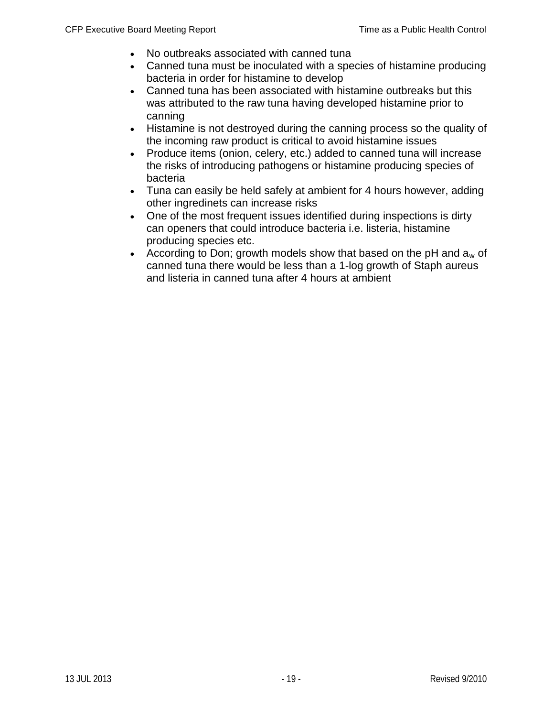- No outbreaks associated with canned tuna
- Canned tuna must be inoculated with a species of histamine producing bacteria in order for histamine to develop
- Canned tuna has been associated with histamine outbreaks but this was attributed to the raw tuna having developed histamine prior to canning
- Histamine is not destroyed during the canning process so the quality of the incoming raw product is critical to avoid histamine issues
- Produce items (onion, celery, etc.) added to canned tuna will increase the risks of introducing pathogens or histamine producing species of bacteria
- Tuna can easily be held safely at ambient for 4 hours however, adding other ingredinets can increase risks
- One of the most frequent issues identified during inspections is dirty can openers that could introduce bacteria i.e. listeria, histamine producing species etc.
- According to Don; growth models show that based on the pH and  $a_w$  of canned tuna there would be less than a 1-log growth of Staph aureus and listeria in canned tuna after 4 hours at ambient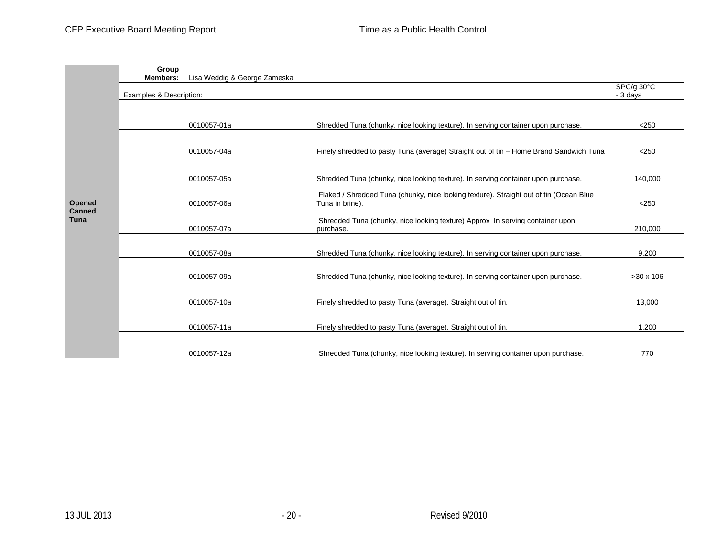|                       | Group                   |                              |                                                                                            |                  |
|-----------------------|-------------------------|------------------------------|--------------------------------------------------------------------------------------------|------------------|
|                       | <b>Members:</b>         | Lisa Weddig & George Zameska |                                                                                            |                  |
|                       |                         |                              |                                                                                            | SPC/g 30°C       |
|                       | Examples & Description: |                              |                                                                                            | - 3 days         |
|                       |                         |                              |                                                                                            |                  |
|                       |                         |                              |                                                                                            |                  |
|                       |                         | 0010057-01a                  | Shredded Tuna (chunky, nice looking texture). In serving container upon purchase.          | $<$ 250          |
|                       |                         |                              |                                                                                            |                  |
|                       |                         | 0010057-04a                  | Finely shredded to pasty Tuna (average) Straight out of tin - Home Brand Sandwich Tuna     | $<$ 250          |
|                       |                         |                              |                                                                                            |                  |
| Opened                |                         | 0010057-05a                  | Shredded Tuna (chunky, nice looking texture). In serving container upon purchase.          | 140,000          |
|                       |                         |                              | Flaked / Shredded Tuna (chunky, nice looking texture). Straight out of tin (Ocean Blue     |                  |
|                       |                         | 0010057-06a                  | Tuna in brine).                                                                            | < 250            |
| <b>Canned</b><br>Tuna |                         |                              |                                                                                            |                  |
|                       |                         | 0010057-07a                  | Shredded Tuna (chunky, nice looking texture) Approx In serving container upon<br>purchase. | 210,000          |
|                       |                         |                              |                                                                                            |                  |
|                       |                         | 0010057-08a                  | Shredded Tuna (chunky, nice looking texture). In serving container upon purchase.          | 9,200            |
|                       |                         |                              |                                                                                            |                  |
|                       |                         | 0010057-09a                  | Shredded Tuna (chunky, nice looking texture). In serving container upon purchase.          | $>30 \times 106$ |
|                       |                         |                              |                                                                                            |                  |
|                       |                         | 0010057-10a                  | Finely shredded to pasty Tuna (average). Straight out of tin.                              | 13,000           |
|                       |                         |                              |                                                                                            |                  |
|                       |                         | 0010057-11a                  | Finely shredded to pasty Tuna (average). Straight out of tin.                              | 1.200            |
|                       |                         |                              |                                                                                            |                  |
|                       |                         | 0010057-12a                  | Shredded Tuna (chunky, nice looking texture). In serving container upon purchase.          | 770              |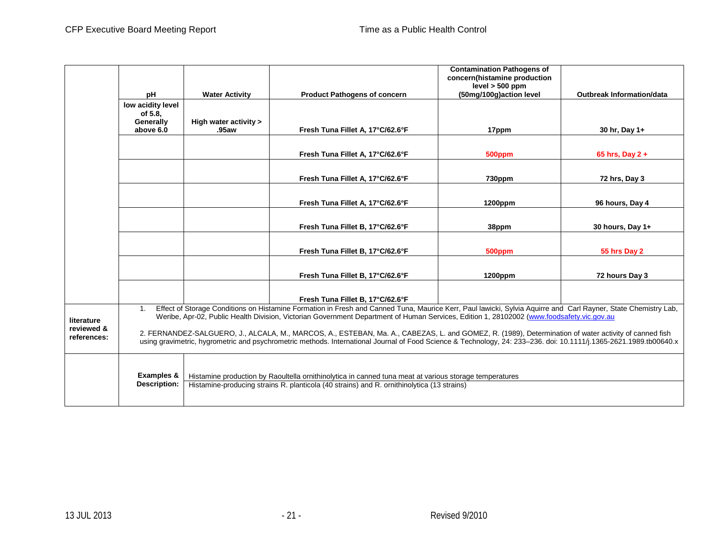|             |                              |                       |                                                                                                                                                                                                                                                                                                                            | <b>Contamination Pathogens of</b>            |                                  |
|-------------|------------------------------|-----------------------|----------------------------------------------------------------------------------------------------------------------------------------------------------------------------------------------------------------------------------------------------------------------------------------------------------------------------|----------------------------------------------|----------------------------------|
|             |                              |                       |                                                                                                                                                                                                                                                                                                                            | concern(histamine production                 |                                  |
|             | pH                           | <b>Water Activity</b> | <b>Product Pathogens of concern</b>                                                                                                                                                                                                                                                                                        | $level > 500$ ppm<br>(50mg/100g)action level | <b>Outbreak Information/data</b> |
|             |                              |                       |                                                                                                                                                                                                                                                                                                                            |                                              |                                  |
|             | low acidity level<br>of 5.8. |                       |                                                                                                                                                                                                                                                                                                                            |                                              |                                  |
|             | Generally                    | High water activity > |                                                                                                                                                                                                                                                                                                                            |                                              |                                  |
|             | above 6.0                    | .95aw                 | Fresh Tuna Fillet A, 17°C/62.6°F                                                                                                                                                                                                                                                                                           | 17ppm                                        | 30 hr, Day 1+                    |
|             |                              |                       |                                                                                                                                                                                                                                                                                                                            |                                              |                                  |
|             |                              |                       | Fresh Tuna Fillet A, 17°C/62.6°F                                                                                                                                                                                                                                                                                           |                                              |                                  |
|             |                              |                       |                                                                                                                                                                                                                                                                                                                            | 500ppm                                       | 65 hrs, Day $2 +$                |
|             |                              |                       |                                                                                                                                                                                                                                                                                                                            |                                              |                                  |
|             |                              |                       | Fresh Tuna Fillet A, 17°C/62.6°F                                                                                                                                                                                                                                                                                           | 730ppm                                       | 72 hrs, Day 3                    |
|             |                              |                       |                                                                                                                                                                                                                                                                                                                            |                                              |                                  |
|             |                              |                       | Fresh Tuna Fillet A, 17°C/62.6°F                                                                                                                                                                                                                                                                                           | 1200ppm                                      | 96 hours, Day 4                  |
|             |                              |                       |                                                                                                                                                                                                                                                                                                                            |                                              |                                  |
|             |                              |                       | Fresh Tuna Fillet B, 17°C/62.6°F                                                                                                                                                                                                                                                                                           | 38ppm                                        | 30 hours, Day 1+                 |
|             |                              |                       |                                                                                                                                                                                                                                                                                                                            |                                              |                                  |
|             |                              |                       |                                                                                                                                                                                                                                                                                                                            |                                              |                                  |
|             |                              |                       | Fresh Tuna Fillet B, 17°C/62.6°F                                                                                                                                                                                                                                                                                           | 500ppm                                       | 55 hrs Day 2                     |
|             |                              |                       |                                                                                                                                                                                                                                                                                                                            |                                              |                                  |
|             |                              |                       | Fresh Tuna Fillet B, 17°C/62.6°F                                                                                                                                                                                                                                                                                           | 1200ppm                                      | 72 hours Day 3                   |
|             |                              |                       |                                                                                                                                                                                                                                                                                                                            |                                              |                                  |
|             |                              |                       | Fresh Tuna Fillet B, 17°C/62.6°F                                                                                                                                                                                                                                                                                           |                                              |                                  |
|             | 1.                           |                       | Effect of Storage Conditions on Histamine Formation in Fresh and Canned Tuna, Maurice Kerr, Paul lawicki, Sylvia Aquirre and Carl Rayner, State Chemistry Lab,                                                                                                                                                             |                                              |                                  |
| literature  |                              |                       | Weribe, Apr-02, Public Health Division, Victorian Government Department of Human Services, Edition 1, 28102002 (www.foodsafety.vic.gov.au                                                                                                                                                                                  |                                              |                                  |
| reviewed &  |                              |                       |                                                                                                                                                                                                                                                                                                                            |                                              |                                  |
| references: |                              |                       | 2. FERNANDEZ-SALGUERO, J., ALCALA, M., MARCOS, A., ESTEBAN, Ma. A., CABEZAS, L. and GOMEZ, R. (1989), Determination of water activity of canned fish<br>using gravimetric, hygrometric and psychrometric methods. International Journal of Food Science & Technology, 24: 233-236. doi: 10.1111/j.1365-2621.1989.tb00640.x |                                              |                                  |
|             |                              |                       |                                                                                                                                                                                                                                                                                                                            |                                              |                                  |
|             |                              |                       |                                                                                                                                                                                                                                                                                                                            |                                              |                                  |
|             |                              |                       |                                                                                                                                                                                                                                                                                                                            |                                              |                                  |
|             | <b>Examples &amp;</b>        |                       | Histamine production by Raoultella ornithinolytica in canned tuna meat at various storage temperatures                                                                                                                                                                                                                     |                                              |                                  |
|             | <b>Description:</b>          |                       | Histamine-producing strains R. planticola (40 strains) and R. ornithinolytica (13 strains)                                                                                                                                                                                                                                 |                                              |                                  |
|             |                              |                       |                                                                                                                                                                                                                                                                                                                            |                                              |                                  |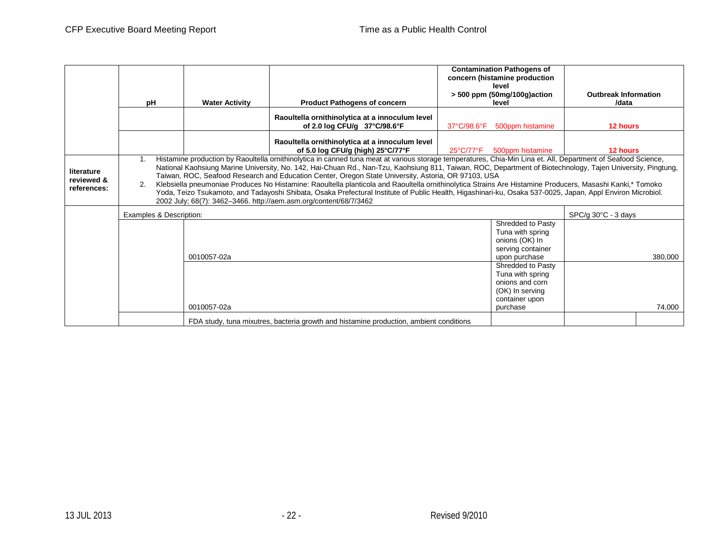|                                         |                                                                                                                                                                                                                                                                                                                                                                                                                                                                                                                                                                                                                                                                                                                                                                                                                                           |                       |                                                                                                           | <b>Contamination Pathogens of</b><br>concern (histamine production                                        |                             |  |  |
|-----------------------------------------|-------------------------------------------------------------------------------------------------------------------------------------------------------------------------------------------------------------------------------------------------------------------------------------------------------------------------------------------------------------------------------------------------------------------------------------------------------------------------------------------------------------------------------------------------------------------------------------------------------------------------------------------------------------------------------------------------------------------------------------------------------------------------------------------------------------------------------------------|-----------------------|-----------------------------------------------------------------------------------------------------------|-----------------------------------------------------------------------------------------------------------|-----------------------------|--|--|
|                                         |                                                                                                                                                                                                                                                                                                                                                                                                                                                                                                                                                                                                                                                                                                                                                                                                                                           |                       |                                                                                                           | level                                                                                                     | <b>Outbreak Information</b> |  |  |
|                                         | рH                                                                                                                                                                                                                                                                                                                                                                                                                                                                                                                                                                                                                                                                                                                                                                                                                                        | <b>Water Activity</b> | <b>Product Pathogens of concern</b>                                                                       | $>$ 500 ppm (50mg/100g)action<br>level                                                                    | /data                       |  |  |
|                                         |                                                                                                                                                                                                                                                                                                                                                                                                                                                                                                                                                                                                                                                                                                                                                                                                                                           |                       | Raoultella ornithinolytica at a innoculum level<br>of 2.0 log CFU/g 37°C/98.6°F                           | 500ppm histamine<br>37°C/98.6°F                                                                           | 12 hours                    |  |  |
|                                         |                                                                                                                                                                                                                                                                                                                                                                                                                                                                                                                                                                                                                                                                                                                                                                                                                                           |                       | Raoultella ornithinolytica at a innoculum level<br>of 5.0 log CFU/g (high) $25^{\circ}$ C/77 $^{\circ}$ F | 25°C/77°F<br>500ppm histamine                                                                             | 12 hours                    |  |  |
| literature<br>reviewed &<br>references: | Histamine production by Raoultella ornithinolytica in canned tuna meat at various storage temperatures, Chia-Min Lina et. All, Department of Seafood Science,<br>National Kaohsiung Marine University, No. 142, Hai-Chuan Rd., Nan-Tzu, Kaohsiung 811, Taiwan, ROC, Department of Biotechnology, Tajen University, Pingtung,<br>Taiwan, ROC, Seafood Research and Education Center, Oregon State University, Astoria, OR 97103, USA<br>Klebsiella pneumoniae Produces No Histamine: Raoultella planticola and Raoultella ornithinolytica Strains Are Histamine Producers, Masashi Kanki,* Tomoko<br>2.<br>Yoda, Teizo Tsukamoto, and Tadayoshi Shibata, Osaka Prefectural Institute of Public Health, Higashinari-ku, Osaka 537-0025, Japan, Appl Environ Microbiol.<br>2002 July; 68(7): 3462-3466. http://aem.asm.org/content/68/7/3462 |                       |                                                                                                           |                                                                                                           |                             |  |  |
|                                         | Examples & Description:                                                                                                                                                                                                                                                                                                                                                                                                                                                                                                                                                                                                                                                                                                                                                                                                                   |                       |                                                                                                           |                                                                                                           | SPC/g 30°C - 3 days         |  |  |
|                                         |                                                                                                                                                                                                                                                                                                                                                                                                                                                                                                                                                                                                                                                                                                                                                                                                                                           | 0010057-02a           |                                                                                                           | Shredded to Pasty<br>Tuna with spring<br>onions (OK) In<br>serving container<br>upon purchase             | 380,000                     |  |  |
|                                         |                                                                                                                                                                                                                                                                                                                                                                                                                                                                                                                                                                                                                                                                                                                                                                                                                                           | 0010057-02a           |                                                                                                           | Shredded to Pasty<br>Tuna with spring<br>onions and corn<br>(OK) In serving<br>container upon<br>purchase | 74,000                      |  |  |
|                                         |                                                                                                                                                                                                                                                                                                                                                                                                                                                                                                                                                                                                                                                                                                                                                                                                                                           |                       | FDA study, tuna mixutres, bacteria growth and histamine production, ambient conditions                    |                                                                                                           |                             |  |  |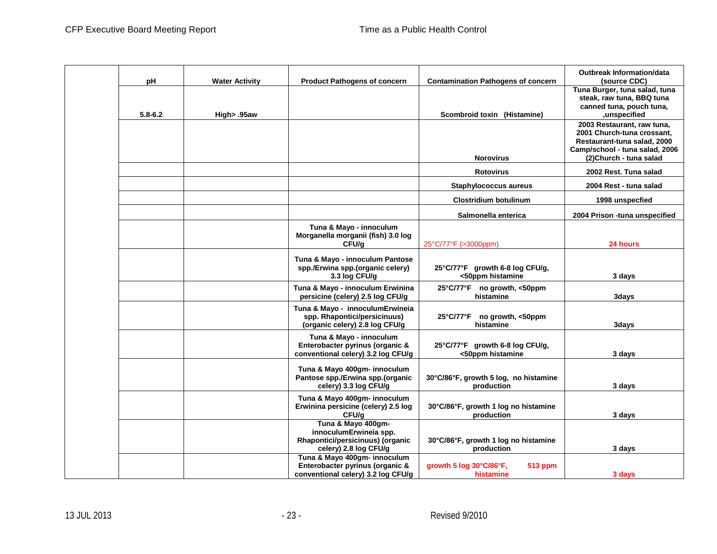| рH          | <b>Water Activity</b> | <b>Product Pathogens of concern</b>                                                                       | <b>Contamination Pathogens of concern</b>              | <b>Outbreak Information/data</b><br>(source CDC)                                                                                                     |
|-------------|-----------------------|-----------------------------------------------------------------------------------------------------------|--------------------------------------------------------|------------------------------------------------------------------------------------------------------------------------------------------------------|
| $5.8 - 6.2$ | High> .95aw           |                                                                                                           | Scombroid toxin (Histamine)                            | Tuna Burger, tuna salad, tuna<br>steak, raw tuna, BBQ tuna<br>canned tuna, pouch tuna,<br>unspecified,                                               |
|             |                       |                                                                                                           | <b>Norovirus</b>                                       | 2003 Restaurant, raw tuna,<br>2001 Church-tuna crossant,<br>Restaurant-tuna salad, 2000<br>Camp/school - tuna salad, 2006<br>(2) Church - tuna salad |
|             |                       |                                                                                                           | <b>Rotovirus</b>                                       | 2002 Rest. Tuna salad                                                                                                                                |
|             |                       |                                                                                                           | Staphylococcus aureus                                  | 2004 Rest - tuna salad                                                                                                                               |
|             |                       |                                                                                                           | <b>Clostridium botulinum</b>                           | 1998 unspecfied                                                                                                                                      |
|             |                       |                                                                                                           | Salmonella enterica                                    | 2004 Prison -tuna unspecified                                                                                                                        |
|             |                       | Tuna & Mayo - innoculum<br>Morganella morganii (fish) 3.0 log<br>CFU/g                                    | 25°C/77°F (>3000ppm)                                   | 24 hours                                                                                                                                             |
|             |                       | Tuna & Mayo - innoculum Pantose<br>spp./Erwina spp.(organic celery)<br>3.3 log CFU/g                      | 25°C/77°F growth 6-8 log CFU/g,<br><50ppm histamine    | 3 days                                                                                                                                               |
|             |                       | Tuna & Mayo - innoculum Erwinina<br>persicine (celery) 2.5 log CFU/g                                      | 25°C/77°F no growth, <50ppm<br>histamine               | 3days                                                                                                                                                |
|             |                       | Tuna & Mayo - innoculumErwineia<br>spp. Rhapontici/persicinuus)<br>(organic celery) 2.8 log CFU/g         | 25°C/77°F no growth, <50ppm<br>histamine               | 3days                                                                                                                                                |
|             |                       | Tuna & Mayo - innoculum<br>Enterobacter pyrinus (organic &<br>conventional celery) 3.2 log CFU/g          | 25°C/77°F growth 6-8 log CFU/g,<br><50ppm histamine    | 3 days                                                                                                                                               |
|             |                       | Tuna & Mayo 400gm- innoculum<br>Pantose spp./Erwina spp.(organic<br>celery) 3.3 log CFU/g                 | 30°C/86°F, growth 5 log, no histamine<br>production    | 3 days                                                                                                                                               |
|             |                       | Tuna & Mayo 400gm- innoculum<br>Erwinina persicine (celery) 2.5 log<br>CFU/g                              | 30°C/86°F, growth 1 log no histamine<br>production     | 3 days                                                                                                                                               |
|             |                       | Tuna & Mayo 400gm-<br>innoculumErwineia spp.<br>Rhapontici/persicinuus) (organic<br>celery) 2.8 log CFU/g | 30°C/86°F, growth 1 log no histamine<br>production     | 3 days                                                                                                                                               |
|             |                       | Tuna & Mayo 400gm- innoculum<br>Enterobacter pyrinus (organic &<br>conventional celery) 3.2 log CFU/g     | growth 5 log 30°C/86°F,<br><b>513 ppm</b><br>histamine | 3 days                                                                                                                                               |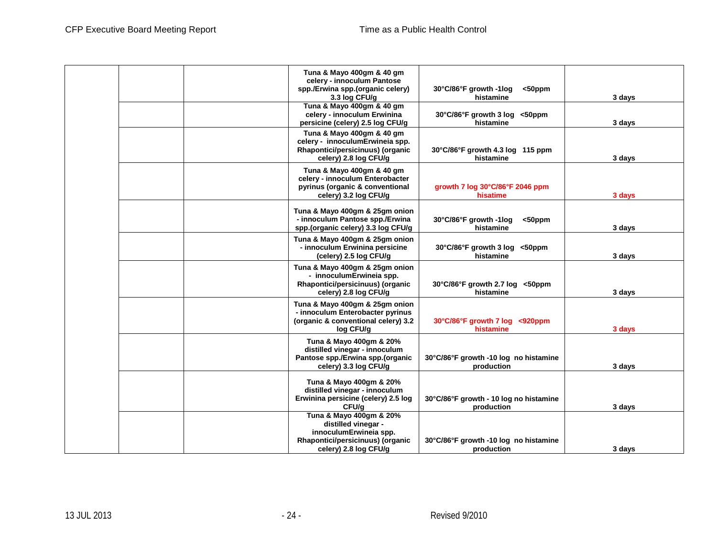|  | Tuna & Mayo 400gm & 40 gm<br>celery - innoculum Pantose<br>spp./Erwina spp.(organic celery)<br>3.3 log CFU/g                          | 30°C/86°F growth -1log<br>$50$ ppm<br>histamine      | 3 days |
|--|---------------------------------------------------------------------------------------------------------------------------------------|------------------------------------------------------|--------|
|  | Tuna & Mayo 400gm & 40 gm<br>celery - innoculum Erwinina<br>persicine (celery) 2.5 log CFU/g                                          | 30°C/86°F growth 3 log <50ppm<br>histamine           | 3 days |
|  | Tuna & Mayo 400gm & 40 gm<br>celery - innoculumErwineia spp.<br>Rhapontici/persicinuus) (organic<br>celery) 2.8 log CFU/g             | 30°C/86°F growth 4.3 log 115 ppm<br>histamine        | 3 days |
|  | Tuna & Mayo 400gm & 40 gm<br>celery - innoculum Enterobacter<br>pyrinus (organic & conventional<br>celery) 3.2 log CFU/g              | growth 7 log 30°C/86°F 2046 ppm<br>hisatime          | 3 days |
|  | Tuna & Mayo 400gm & 25gm onion<br>- innoculum Pantose spp./Erwina<br>spp.(organic celery) 3.3 log CFU/g                               | 30°C/86°F growth -1log<br>$50$ ppm<br>histamine      | 3 days |
|  | Tuna & Mayo 400gm & 25gm onion<br>- innoculum Erwinina persicine<br>(celery) 2.5 log CFU/g                                            | 30°C/86°F growth 3 log <50ppm<br>histamine           | 3 days |
|  | Tuna & Mayo 400gm & 25gm onion<br>- innoculumErwineia spp.<br>Rhapontici/persicinuus) (organic<br>celery) 2.8 log CFU/g               | 30°C/86°F growth 2.7 log <50ppm<br>histamine         | 3 days |
|  | Tuna & Mayo 400gm & 25gm onion<br>- innoculum Enterobacter pyrinus<br>(organic & conventional celery) 3.2<br>log CFU/g                | 30°C/86°F growth 7 log <920ppm<br>histamine          | 3 days |
|  | Tuna & Mayo 400gm & 20%<br>distilled vinegar - innoculum<br>Pantose spp./Erwina spp.(organic<br>celery) 3.3 log CFU/g                 | 30°C/86°F growth -10 log no histamine<br>production  | 3 days |
|  | Tuna & Mayo 400gm & 20%<br>distilled vinegar - innoculum<br>Erwinina persicine (celery) 2.5 log<br>CFU/g                              | 30°C/86°F growth - 10 log no histamine<br>production | 3 days |
|  | Tuna & Mayo 400gm & 20%<br>distilled vinegar -<br>innoculumErwineia spp.<br>Rhapontici/persicinuus) (organic<br>celery) 2.8 log CFU/g | 30°C/86°F growth -10 log no histamine<br>production  | 3 days |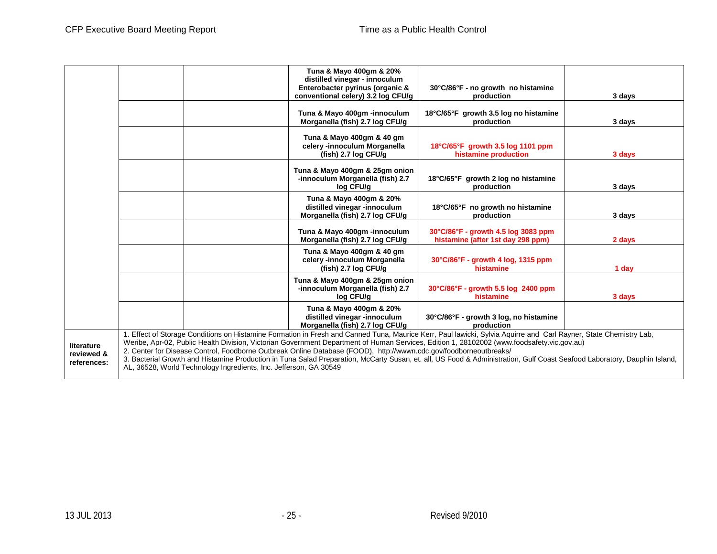|                                         |                                                                                                                                                                                                                                                                                                                                                                                                                                                                                                                                                                                                                                                                                       |  | Tuna & Mayo 400gm & 20%<br>distilled vinegar - innoculum<br>Enterobacter pyrinus (organic &<br>conventional celery) 3.2 log CFU/g | 30°C/86°F - no growth no histamine<br>production                         | 3 days |  |  |
|-----------------------------------------|---------------------------------------------------------------------------------------------------------------------------------------------------------------------------------------------------------------------------------------------------------------------------------------------------------------------------------------------------------------------------------------------------------------------------------------------------------------------------------------------------------------------------------------------------------------------------------------------------------------------------------------------------------------------------------------|--|-----------------------------------------------------------------------------------------------------------------------------------|--------------------------------------------------------------------------|--------|--|--|
|                                         |                                                                                                                                                                                                                                                                                                                                                                                                                                                                                                                                                                                                                                                                                       |  | Tuna & Mayo 400gm -innoculum<br>Morganella (fish) 2.7 log CFU/g                                                                   | 18°C/65°F growth 3.5 log no histamine<br>production                      | 3 days |  |  |
|                                         |                                                                                                                                                                                                                                                                                                                                                                                                                                                                                                                                                                                                                                                                                       |  | Tuna & Mayo 400gm & 40 gm<br>celery -innoculum Morganella<br>(fish) 2.7 log CFU/g                                                 | 18°C/65°F growth 3.5 log 1101 ppm<br>histamine production                | 3 days |  |  |
|                                         |                                                                                                                                                                                                                                                                                                                                                                                                                                                                                                                                                                                                                                                                                       |  | Tuna & Mayo 400gm & 25gm onion<br>-innoculum Morganella (fish) 2.7<br>log CFU/g                                                   | 18°C/65°F growth 2 log no histamine<br>production                        | 3 days |  |  |
|                                         |                                                                                                                                                                                                                                                                                                                                                                                                                                                                                                                                                                                                                                                                                       |  | Tuna & Mayo 400gm & 20%<br>distilled vinegar -innoculum<br>Morganella (fish) 2.7 log CFU/g                                        | 18°C/65°F no growth no histamine<br>production                           | 3 days |  |  |
|                                         |                                                                                                                                                                                                                                                                                                                                                                                                                                                                                                                                                                                                                                                                                       |  | Tuna & Mayo 400gm -innoculum<br>Morganella (fish) 2.7 log CFU/g                                                                   | 30°C/86°F - growth 4.5 log 3083 ppm<br>histamine (after 1st day 298 ppm) | 2 days |  |  |
|                                         |                                                                                                                                                                                                                                                                                                                                                                                                                                                                                                                                                                                                                                                                                       |  | Tuna & Mayo 400gm & 40 gm<br>celery -innoculum Morganella<br>$(fish)$ 2.7 log CFU/g                                               | 30°C/86°F - growth 4 log, 1315 ppm<br>histamine                          | 1 day  |  |  |
|                                         |                                                                                                                                                                                                                                                                                                                                                                                                                                                                                                                                                                                                                                                                                       |  | Tuna & Mayo 400gm & 25gm onion<br>-innoculum Morganella (fish) 2.7<br>log CFU/g                                                   | 30°C/86°F - growth 5.5 log 2400 ppm<br>histamine                         | 3 days |  |  |
|                                         |                                                                                                                                                                                                                                                                                                                                                                                                                                                                                                                                                                                                                                                                                       |  | Tuna & Mayo 400qm & 20%<br>distilled vinegar -innoculum<br>Morganella (fish) 2.7 log CFU/g                                        | 30°C/86°F - growth 3 log, no histamine<br>production                     |        |  |  |
| literature<br>reviewed &<br>references: | 1. Effect of Storage Conditions on Histamine Formation in Fresh and Canned Tuna, Maurice Kerr, Paul lawicki, Sylvia Aquirre and Carl Rayner, State Chemistry Lab,<br>Weribe, Apr-02, Public Health Division, Victorian Government Department of Human Services, Edition 1, 28102002 (www.foodsafety.vic.gov.au)<br>2. Center for Disease Control, Foodborne Outbreak Online Database (FOOD), http://wwwn.cdc.gov/foodborneoutbreaks/<br>3. Bacterial Growth and Histamine Production in Tuna Salad Preparation, McCarty Susan, et. all, US Food & Administration, Gulf Coast Seafood Laboratory, Dauphin Island,<br>AL, 36528, World Technology Ingredients, Inc. Jefferson, GA 30549 |  |                                                                                                                                   |                                                                          |        |  |  |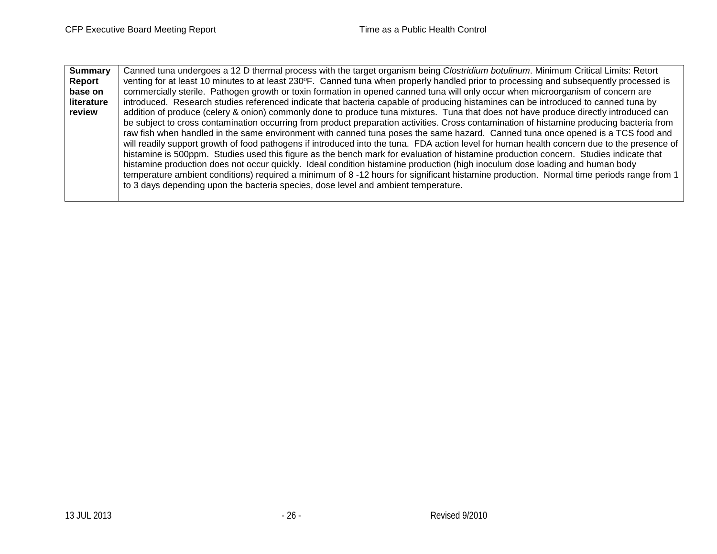| <b>Summary</b> | Canned tuna undergoes a 12 D thermal process with the target organism being Clostridium botulinum. Minimum Critical Limits: Retort          |
|----------------|---------------------------------------------------------------------------------------------------------------------------------------------|
| Report         | venting for at least 10 minutes to at least 230°F. Canned tuna when properly handled prior to processing and subsequently processed is      |
| base on        | commercially sterile. Pathogen growth or toxin formation in opened canned tuna will only occur when microorganism of concern are            |
| literature     | introduced. Research studies referenced indicate that bacteria capable of producing histamines can be introduced to canned tuna by          |
| review         | addition of produce (celery & onion) commonly done to produce tuna mixtures. Tuna that does not have produce directly introduced can        |
|                | be subject to cross contamination occurring from product preparation activities. Cross contamination of histamine producing bacteria from   |
|                | raw fish when handled in the same environment with canned tuna poses the same hazard. Canned tuna once opened is a TCS food and             |
|                | will readily support growth of food pathogens if introduced into the tuna. FDA action level for human health concern due to the presence of |
|                | histamine is 500ppm. Studies used this figure as the bench mark for evaluation of histamine production concern. Studies indicate that       |
|                | histamine production does not occur quickly. Ideal condition histamine production (high inoculum dose loading and human body                |
|                | temperature ambient conditions) required a minimum of 8 -12 hours for significant histamine production. Normal time periods range from 1    |
|                | to 3 days depending upon the bacteria species, dose level and ambient temperature.                                                          |
|                |                                                                                                                                             |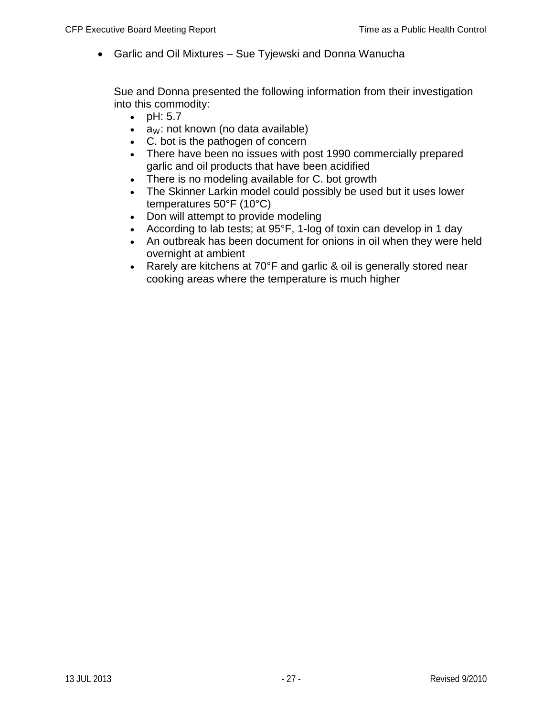• Garlic and Oil Mixtures – Sue Tyjewski and Donna Wanucha

Sue and Donna presented the following information from their investigation into this commodity:

- pH: 5.7
- $a_W$ : not known (no data available)
- C. bot is the pathogen of concern
- There have been no issues with post 1990 commercially prepared garlic and oil products that have been acidified
- There is no modeling available for C. bot growth
- The Skinner Larkin model could possibly be used but it uses lower temperatures 50°F (10°C)
- Don will attempt to provide modeling
- According to lab tests; at 95°F, 1-log of toxin can develop in 1 day
- An outbreak has been document for onions in oil when they were held overnight at ambient
- Rarely are kitchens at 70°F and garlic & oil is generally stored near cooking areas where the temperature is much higher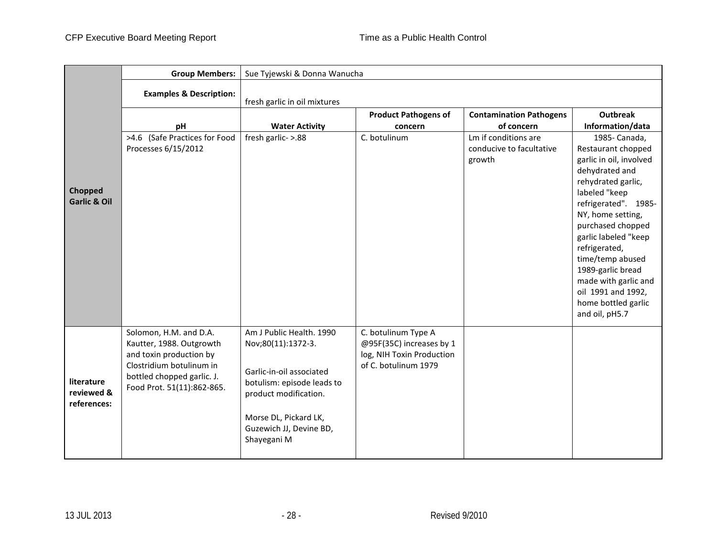|                                         | <b>Group Members:</b>                                                                                                                                                 | Sue Tyjewski & Donna Wanucha                                                                                                                                                                         |                                                                                                      |                                                            |                                                                                                                                                                                                                                                                                                                                                                    |  |  |  |
|-----------------------------------------|-----------------------------------------------------------------------------------------------------------------------------------------------------------------------|------------------------------------------------------------------------------------------------------------------------------------------------------------------------------------------------------|------------------------------------------------------------------------------------------------------|------------------------------------------------------------|--------------------------------------------------------------------------------------------------------------------------------------------------------------------------------------------------------------------------------------------------------------------------------------------------------------------------------------------------------------------|--|--|--|
|                                         | <b>Examples &amp; Description:</b>                                                                                                                                    | fresh garlic in oil mixtures                                                                                                                                                                         |                                                                                                      |                                                            |                                                                                                                                                                                                                                                                                                                                                                    |  |  |  |
|                                         | рH                                                                                                                                                                    | <b>Water Activity</b>                                                                                                                                                                                | <b>Product Pathogens of</b><br>concern                                                               | <b>Contamination Pathogens</b><br>of concern               | <b>Outbreak</b><br>Information/data                                                                                                                                                                                                                                                                                                                                |  |  |  |
| Chopped<br><b>Garlic &amp; Oil</b>      | >4.6 (Safe Practices for Food<br>Processes 6/15/2012                                                                                                                  | fresh garlic- >.88                                                                                                                                                                                   | C. botulinum                                                                                         | Lm if conditions are<br>conducive to facultative<br>growth | 1985- Canada,<br>Restaurant chopped<br>garlic in oil, involved<br>dehydrated and<br>rehydrated garlic,<br>labeled "keep<br>refrigerated". 1985-<br>NY, home setting,<br>purchased chopped<br>garlic labeled "keep<br>refrigerated,<br>time/temp abused<br>1989-garlic bread<br>made with garlic and<br>oil 1991 and 1992,<br>home bottled garlic<br>and oil, pH5.7 |  |  |  |
| literature<br>reviewed &<br>references: | Solomon, H.M. and D.A.<br>Kautter, 1988. Outgrowth<br>and toxin production by<br>Clostridium botulinum in<br>bottled chopped garlic. J.<br>Food Prot. 51(11):862-865. | Am J Public Health. 1990<br>Nov;80(11):1372-3.<br>Garlic-in-oil associated<br>botulism: episode leads to<br>product modification.<br>Morse DL, Pickard LK,<br>Guzewich JJ, Devine BD,<br>Shayegani M | C. botulinum Type A<br>@95F(35C) increases by 1<br>log, NIH Toxin Production<br>of C. botulinum 1979 |                                                            |                                                                                                                                                                                                                                                                                                                                                                    |  |  |  |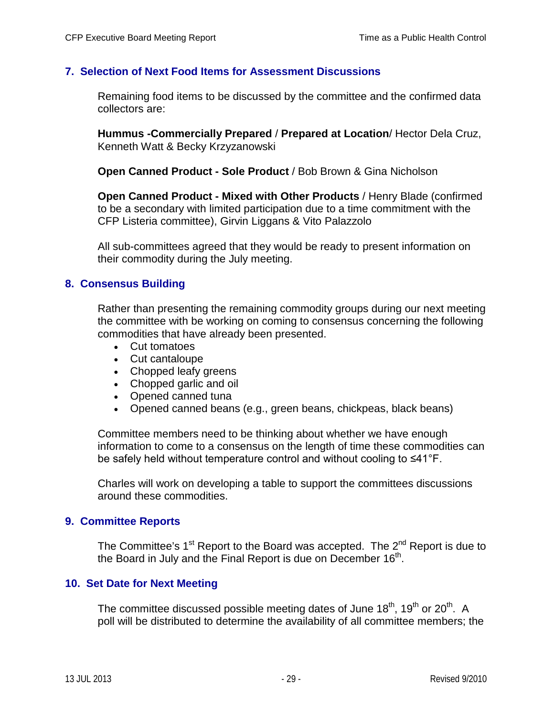### **7. Selection of Next Food Items for Assessment Discussions**

Remaining food items to be discussed by the committee and the confirmed data collectors are:

**Hummus -Commercially Prepared** / **Prepared at Location**/ Hector Dela Cruz, Kenneth Watt & Becky Krzyzanowski

**Open Canned Product - Sole Product** / Bob Brown & Gina Nicholson

**Open Canned Product - Mixed with Other Products** / Henry Blade (confirmed to be a secondary with limited participation due to a time commitment with the CFP Listeria committee), Girvin Liggans & Vito Palazzolo

All sub-committees agreed that they would be ready to present information on their commodity during the July meeting.

### **8. Consensus Building**

Rather than presenting the remaining commodity groups during our next meeting the committee with be working on coming to consensus concerning the following commodities that have already been presented.

- Cut tomatoes
- Cut cantaloupe
- Chopped leafy greens
- Chopped garlic and oil
- Opened canned tuna
- Opened canned beans (e.g., green beans, chickpeas, black beans)

Committee members need to be thinking about whether we have enough information to come to a consensus on the length of time these commodities can be safely held without temperature control and without cooling to ≤41°F.

Charles will work on developing a table to support the committees discussions around these commodities.

#### **9. Committee Reports**

The Committee's  $1<sup>st</sup>$  Report to the Board was accepted. The  $2<sup>nd</sup>$  Report is due to the Board in July and the Final Report is due on December 16<sup>th</sup>.

### **10. Set Date for Next Meeting**

The committee discussed possible meeting dates of June  $18^{th}$ ,  $19^{th}$  or  $20^{th}$ . A poll will be distributed to determine the availability of all committee members; the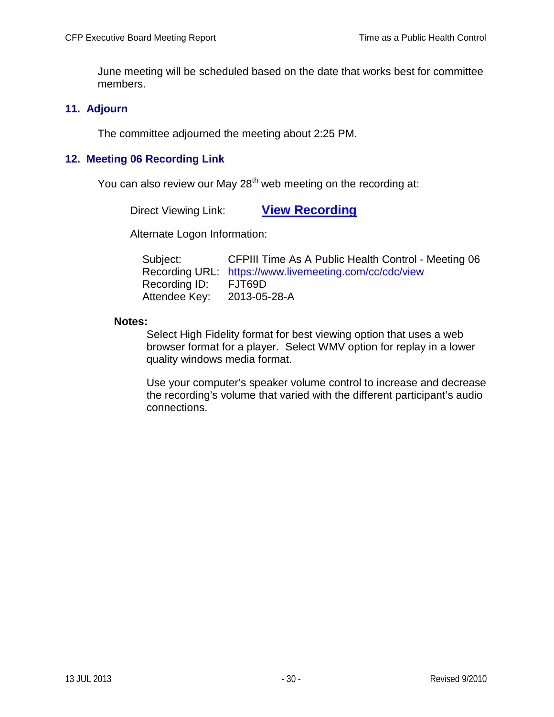June meeting will be scheduled based on the date that works best for committee members.

### **11. Adjourn**

The committee adjourned the meeting about 2:25 PM.

## **12. Meeting 06 Recording Link**

You can also review our May  $28<sup>th</sup>$  web meeting on the recording at:

Direct Viewing Link: **[View Recording](https://www.livemeeting.com/cc/cdc/view?id=FJT69D&pw=2013-05-28-A)**

Alternate Logon Information:

| Subject:      | CFPIII Time As A Public Health Control - Meeting 06    |
|---------------|--------------------------------------------------------|
|               | Recording URL: https://www.livemeeting.com/cc/cdc/view |
| Recording ID: | FJT69D                                                 |
| Attendee Key: | 2013-05-28-A                                           |

#### **Notes:**

Select High Fidelity format for best viewing option that uses a web browser format for a player. Select WMV option for replay in a lower quality windows media format.

Use your computer's speaker volume control to increase and decrease the recording's volume that varied with the different participant's audio connections.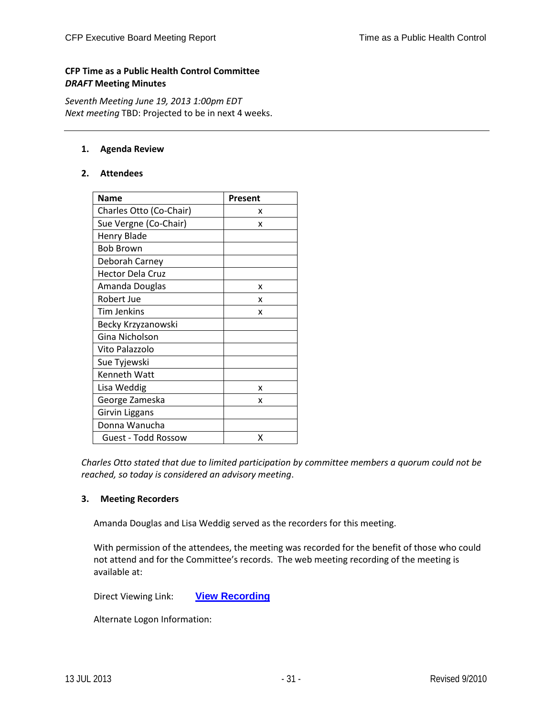#### **CFP Time as a Public Health Control Committee** *DRAFT* **Meeting Minutes**

*Seventh Meeting June 19, 2013 1:00pm EDT Next meeting* TBD: Projected to be in next 4 weeks.

#### **1. Agenda Review**

#### **2. Attendees**

| Name                       | Present |
|----------------------------|---------|
| Charles Otto (Co-Chair)    | x       |
| Sue Vergne (Co-Chair)      | x       |
| <b>Henry Blade</b>         |         |
| <b>Bob Brown</b>           |         |
| Deborah Carney             |         |
| <b>Hector Dela Cruz</b>    |         |
| Amanda Douglas             | x       |
| Robert Jue                 | x       |
| <b>Tim Jenkins</b>         | x       |
| Becky Krzyzanowski         |         |
| Gina Nicholson             |         |
| Vito Palazzolo             |         |
| Sue Tyjewski               |         |
| Kenneth Watt               |         |
| Lisa Weddig                | x       |
| George Zameska             | x       |
| Girvin Liggans             |         |
| Donna Wanucha              |         |
| <b>Guest - Todd Rossow</b> | x       |

*Charles Otto stated that due to limited participation by committee members a quorum could not be reached, so today is considered an advisory meeting*.

#### **3. Meeting Recorders**

Amanda Douglas and Lisa Weddig served as the recorders for this meeting.

With permission of the attendees, the meeting was recorded for the benefit of those who could not attend and for the Committee's records. The web meeting recording of the meeting is available at:

Direct Viewing Link: **[View Recording](https://www.livemeeting.com/cc/cdc/view?id=FRKB2J&pw=2013-06-19-A)**

Alternate Logon Information: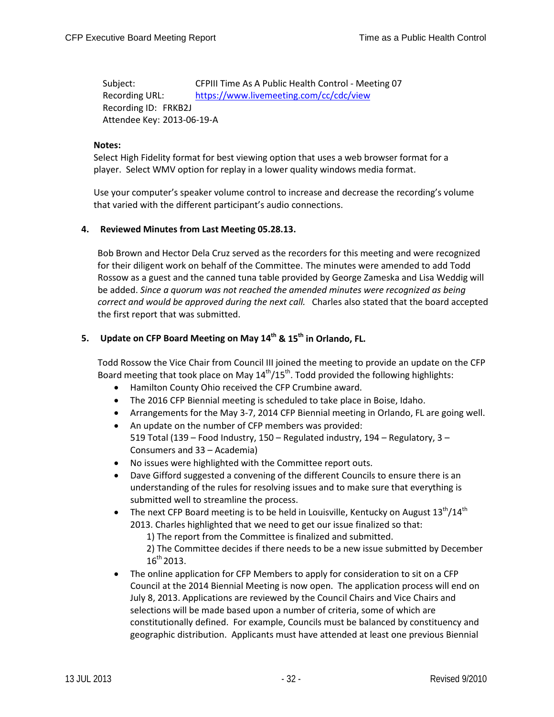Subject: CFPIII Time As A Public Health Control - Meeting 07 Recording URL: <https://www.livemeeting.com/cc/cdc/view> Recording ID: FRKB2J Attendee Key: 2013-06-19-A

#### **Notes:**

Select High Fidelity format for best viewing option that uses a web browser format for a player. Select WMV option for replay in a lower quality windows media format.

Use your computer's speaker volume control to increase and decrease the recording's volume that varied with the different participant's audio connections.

#### **4. Reviewed Minutes from Last Meeting 05.28.13.**

Bob Brown and Hector Dela Cruz served as the recorders for this meeting and were recognized for their diligent work on behalf of the Committee. The minutes were amended to add Todd Rossow as a guest and the canned tuna table provided by George Zameska and Lisa Weddig will be added. *Since a quorum was not reached the amended minutes were recognized as being correct and would be approved during the next call.* Charles also stated that the board accepted the first report that was submitted.

#### **5.** Update on CFP Board Meeting on May 14<sup>th</sup> & 15<sup>th</sup> in Orlando, FL.

Todd Rossow the Vice Chair from Council III joined the meeting to provide an update on the CFP Board meeting that took place on May  $14<sup>th</sup>/15<sup>th</sup>$ . Todd provided the following highlights:

- Hamilton County Ohio received the CFP Crumbine award.
- The 2016 CFP Biennial meeting is scheduled to take place in Boise, Idaho.
- Arrangements for the May 3-7, 2014 CFP Biennial meeting in Orlando, FL are going well.
- An update on the number of CFP members was provided: 519 Total (139 – Food Industry, 150 – Regulated industry, 194 – Regulatory, 3 – Consumers and 33 – Academia)
- No issues were highlighted with the Committee report outs.
- Dave Gifford suggested a convening of the different Councils to ensure there is an understanding of the rules for resolving issues and to make sure that everything is submitted well to streamline the process.
- The next CFP Board meeting is to be held in Louisville, Kentucky on August  $13^{th}/14^{th}$ 2013. Charles highlighted that we need to get our issue finalized so that:

1) The report from the Committee is finalized and submitted.

2) The Committee decides if there needs to be a new issue submitted by December 16<sup>th</sup> 2013.

• The online application for CFP Members to apply for consideration to sit on a CFP Council at the 2014 Biennial Meeting is now open. The application process will end on July 8, 2013. Applications are reviewed by the Council Chairs and Vice Chairs and selections will be made based upon a number of criteria, some of which are constitutionally defined. For example, Councils must be balanced by constituency and geographic distribution. Applicants must have attended at least one previous Biennial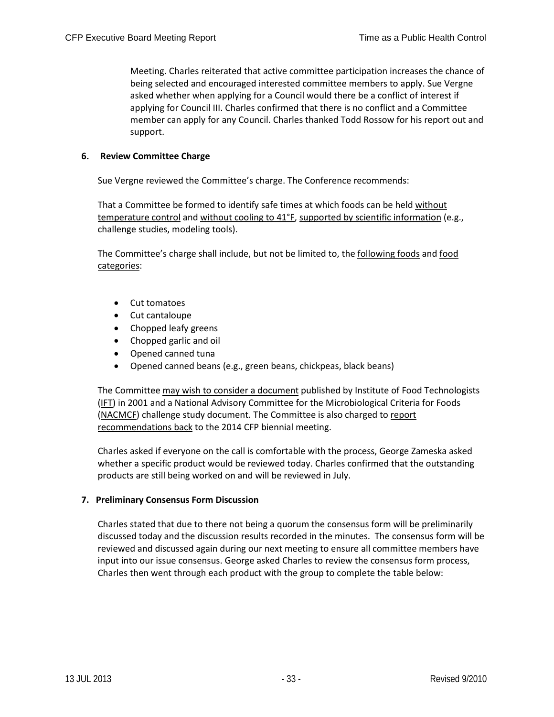Meeting. Charles reiterated that active committee participation increases the chance of being selected and encouraged interested committee members to apply. Sue Vergne asked whether when applying for a Council would there be a conflict of interest if applying for Council III. Charles confirmed that there is no conflict and a Committee member can apply for any Council. Charles thanked Todd Rossow for his report out and support.

#### **6. Review Committee Charge**

Sue Vergne reviewed the Committee's charge. The Conference recommends:

That a Committee be formed to identify safe times at which foods can be held without temperature control and without cooling to 41°F, supported by scientific information (e.g., challenge studies, modeling tools).

The Committee's charge shall include, but not be limited to, the following foods and food categories:

- Cut tomatoes
- Cut cantaloupe
- Chopped leafy greens
- Chopped garlic and oil
- Opened canned tuna
- Opened canned beans (e.g., green beans, chickpeas, black beans)

The Committee may wish to consider a document published by Institute of Food Technologists (IFT) in 2001 and a National Advisory Committee for the Microbiological Criteria for Foods (NACMCF) challenge study document. The Committee is also charged to report recommendations back to the 2014 CFP biennial meeting.

Charles asked if everyone on the call is comfortable with the process, George Zameska asked whether a specific product would be reviewed today. Charles confirmed that the outstanding products are still being worked on and will be reviewed in July.

#### **7. Preliminary Consensus Form Discussion**

Charles stated that due to there not being a quorum the consensus form will be preliminarily discussed today and the discussion results recorded in the minutes. The consensus form will be reviewed and discussed again during our next meeting to ensure all committee members have input into our issue consensus. George asked Charles to review the consensus form process, Charles then went through each product with the group to complete the table below: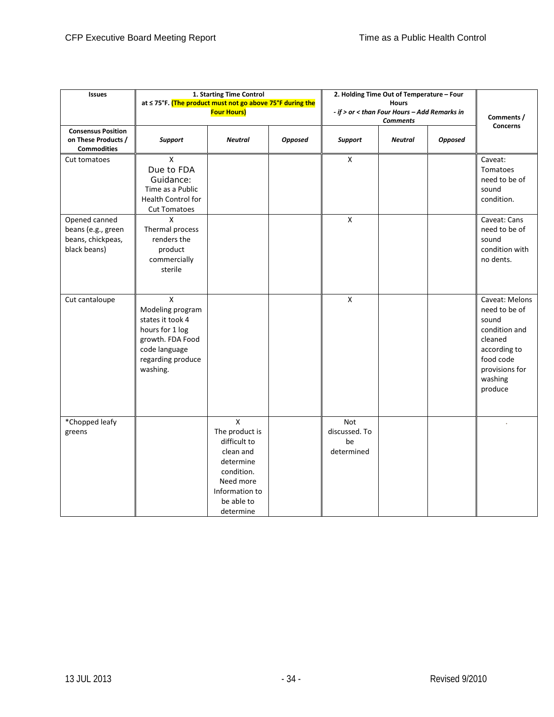| <b>Issues</b>                                                            | at ≤ 75°F. (The product must not go above 75°F during the                                                                          | 1. Starting Time Control<br><b>Four Hours)</b>                                                                                                   |                | 2. Holding Time Out of Temperature - Four<br><b>Hours</b><br>- if > or < than Four Hours - Add Remarks in<br><b>Comments</b> |                |                | Comments /<br><b>Concerns</b>                                                                                                             |  |
|--------------------------------------------------------------------------|------------------------------------------------------------------------------------------------------------------------------------|--------------------------------------------------------------------------------------------------------------------------------------------------|----------------|------------------------------------------------------------------------------------------------------------------------------|----------------|----------------|-------------------------------------------------------------------------------------------------------------------------------------------|--|
| <b>Consensus Position</b><br>on These Products /<br><b>Commodities</b>   | <b>Support</b>                                                                                                                     | <b>Neutral</b>                                                                                                                                   | <b>Opposed</b> | <b>Support</b>                                                                                                               | <b>Neutral</b> | <b>Opposed</b> |                                                                                                                                           |  |
| Cut tomatoes                                                             | $\mathsf X$<br>Due to FDA<br>Guidance:<br>Time as a Public<br><b>Health Control for</b><br><b>Cut Tomatoes</b>                     |                                                                                                                                                  |                | X                                                                                                                            |                |                | Caveat:<br>Tomatoes<br>need to be of<br>sound<br>condition.                                                                               |  |
| Opened canned<br>beans (e.g., green<br>beans, chickpeas,<br>black beans) | x<br>Thermal process<br>renders the<br>product<br>commercially<br>sterile                                                          |                                                                                                                                                  |                | $\pmb{\mathsf{X}}$                                                                                                           |                |                | Caveat: Cans<br>need to be of<br>sound<br>condition with<br>no dents.                                                                     |  |
| Cut cantaloupe                                                           | X<br>Modeling program<br>states it took 4<br>hours for 1 log<br>growth. FDA Food<br>code language<br>regarding produce<br>washing. |                                                                                                                                                  |                | $\pmb{\mathsf{X}}$                                                                                                           |                |                | Caveat: Melons<br>need to be of<br>sound<br>condition and<br>cleaned<br>according to<br>food code<br>provisions for<br>washing<br>produce |  |
| *Chopped leafy<br>greens                                                 |                                                                                                                                    | $\mathsf{x}$<br>The product is<br>difficult to<br>clean and<br>determine<br>condition.<br>Need more<br>Information to<br>be able to<br>determine |                | Not<br>discussed. To<br>be<br>determined                                                                                     |                |                |                                                                                                                                           |  |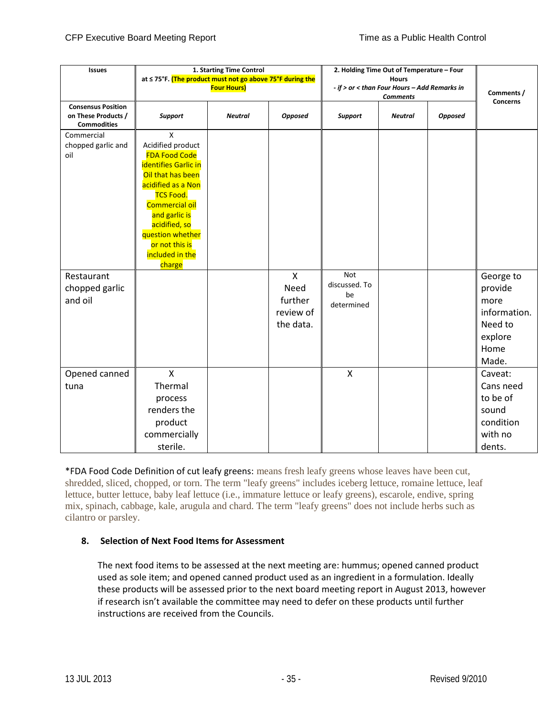| <b>Issues</b>                                                          | 1. Starting Time Control<br>at ≤ 75°F. (The product must not go above 75°F during the                                                                                                                                                                               |                    | 2. Holding Time Out of Temperature - Four                 |                                                 |                                                                 |                |                                                                                     |
|------------------------------------------------------------------------|---------------------------------------------------------------------------------------------------------------------------------------------------------------------------------------------------------------------------------------------------------------------|--------------------|-----------------------------------------------------------|-------------------------------------------------|-----------------------------------------------------------------|----------------|-------------------------------------------------------------------------------------|
|                                                                        |                                                                                                                                                                                                                                                                     | <b>Four Hours)</b> |                                                           |                                                 | - if > or < than Four Hours - Add Remarks in<br><b>Comments</b> |                |                                                                                     |
| <b>Consensus Position</b><br>on These Products /<br><b>Commodities</b> | <b>Support</b>                                                                                                                                                                                                                                                      | <b>Neutral</b>     | <b>Opposed</b>                                            | Support                                         | <b>Neutral</b>                                                  | <b>Opposed</b> | <b>Concerns</b>                                                                     |
| Commercial<br>chopped garlic and<br>oil                                | X<br>Acidified product<br><b>FDA Food Code</b><br><b>identifies Garlic in</b><br>Oil that has been<br>acidified as a Non<br><b>TCS Food.</b><br>Commercial oil<br>and garlic is<br>acidified, so<br>question whether<br>or not this is<br>included in the<br>charge |                    |                                                           |                                                 |                                                                 |                |                                                                                     |
| Restaurant<br>chopped garlic<br>and oil                                |                                                                                                                                                                                                                                                                     |                    | $\mathsf{x}$<br>Need<br>further<br>review of<br>the data. | <b>Not</b><br>discussed. To<br>be<br>determined |                                                                 |                | George to<br>provide<br>more<br>information.<br>Need to<br>explore<br>Home<br>Made. |
| Opened canned<br>tuna                                                  | $\mathsf{x}$<br>Thermal<br>process<br>renders the<br>product<br>commercially<br>sterile.                                                                                                                                                                            |                    |                                                           | X                                               |                                                                 |                | Caveat:<br>Cans need<br>to be of<br>sound<br>condition<br>with no<br>dents.         |

\*FDA Food Code Definition of cut leafy greens: means fresh leafy greens whose leaves have been cut, shredded, sliced, chopped, or torn. The term "leafy greens" includes iceberg lettuce, romaine lettuce, leaf lettuce, butter lettuce, baby leaf lettuce (i.e., immature lettuce or leafy greens), escarole, endive, spring mix, spinach, cabbage, kale, arugula and chard. The term "leafy greens" does not include herbs such as cilantro or parsley.

#### **8. Selection of Next Food Items for Assessment**

The next food items to be assessed at the next meeting are: hummus; opened canned product used as sole item; and opened canned product used as an ingredient in a formulation. Ideally these products will be assessed prior to the next board meeting report in August 2013, however if research isn't available the committee may need to defer on these products until further instructions are received from the Councils.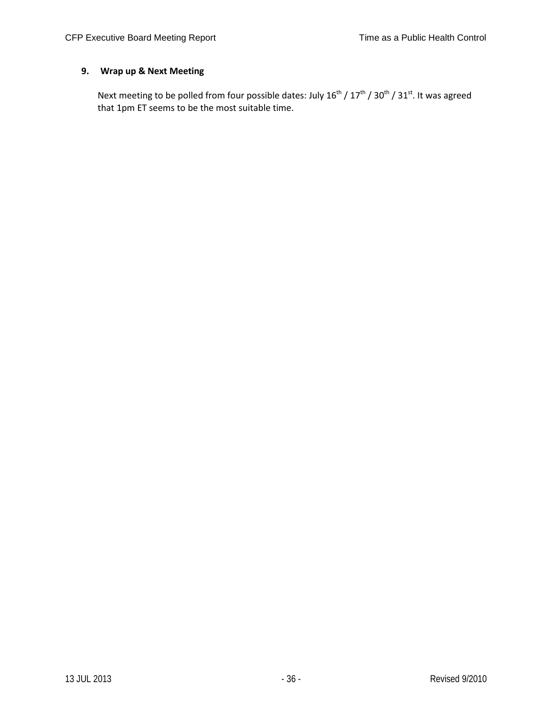### **9. Wrap up & Next Meeting**

Next meeting to be polled from four possible dates: July  $16^{th}$  /  $17^{th}$  /  $30^{th}$  /  $31^{st}$ . It was agreed that 1pm ET seems to be the most suitable time.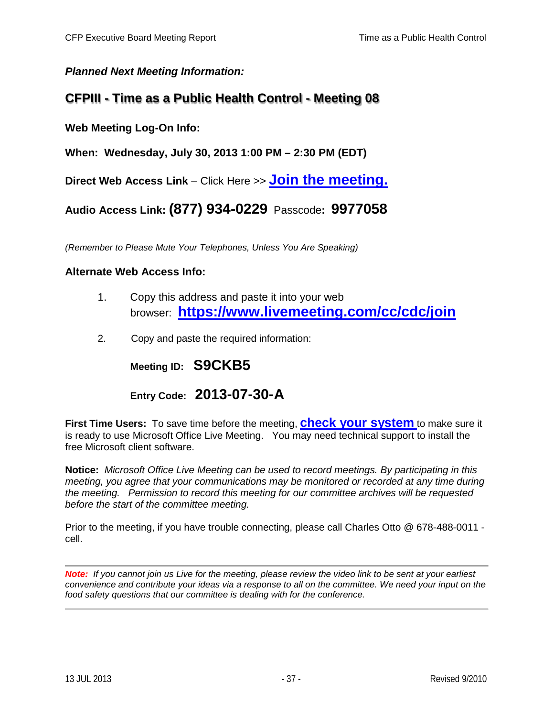## *Planned Next Meeting Information:*

# **CFPIII - Time as a Public Health Control - Meeting 08**

**Web Meeting Log-On Info:**

**When: Wednesday, July 30, 2013 1:00 PM – 2:30 PM (EDT)**

**Direct Web Access Link** – Click Here >> **[Join the meeting.](https://www.livemeeting.com/cc/cdc/join?id=S9CKB5&role=attend&pw=2013-07-30-A)**

**Audio Access Link: (877) 934-0229** Passcode**: 9977058**

*(Remember to Please Mute Your Telephones, Unless You Are Speaking)*

### **Alternate Web Access Info:**

- 1. Copy this address and paste it into your web browser: **<https://www.livemeeting.com/cc/cdc/join>**
- 2. Copy and paste the required information:

**Meeting ID: S9CKB5**

**Entry Code: 2013-07-30-A**

**First Time Users:** To save time before the meeting, **[check your system](http://go.microsoft.com/fwlink/?LinkId=90703)** to make sure it is ready to use Microsoft Office Live Meeting. You may need technical support to install the free Microsoft client software.

**Notice:** *Microsoft Office Live Meeting can be used to record meetings. By participating in this meeting, you agree that your communications may be monitored or recorded at any time during the meeting. Permission to record this meeting for our committee archives will be requested before the start of the committee meeting.*

Prior to the meeting, if you have trouble connecting, please call Charles Otto @ 678-488-0011 cell.

*Note: If you cannot join us Live for the meeting, please review the video link to be sent at your earliest convenience and contribute your ideas via a response to all on the committee. We need your input on the food safety questions that our committee is dealing with for the conference.*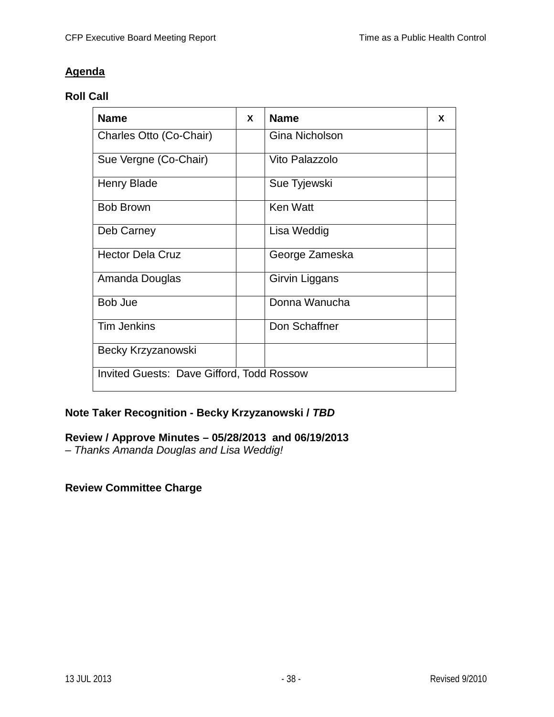# **Agenda**

## **Roll Call**

| <b>Name</b>                                      | X | <b>Name</b>     | X |
|--------------------------------------------------|---|-----------------|---|
| Charles Otto (Co-Chair)                          |   | Gina Nicholson  |   |
| Sue Vergne (Co-Chair)                            |   | Vito Palazzolo  |   |
| <b>Henry Blade</b>                               |   | Sue Tyjewski    |   |
| <b>Bob Brown</b>                                 |   | <b>Ken Watt</b> |   |
| Deb Carney                                       |   | Lisa Weddig     |   |
| <b>Hector Dela Cruz</b>                          |   | George Zameska  |   |
| Amanda Douglas                                   |   | Girvin Liggans  |   |
| Bob Jue                                          |   | Donna Wanucha   |   |
| <b>Tim Jenkins</b>                               |   | Don Schaffner   |   |
| Becky Krzyzanowski                               |   |                 |   |
| <b>Invited Guests: Dave Gifford, Todd Rossow</b> |   |                 |   |

## **Note Taker Recognition - Becky Krzyzanowski /** *TBD*

## **Review / Approve Minutes – 05/28/2013 and 06/19/2013**

*– Thanks Amanda Douglas and Lisa Weddig!*

**Review Committee Charge**